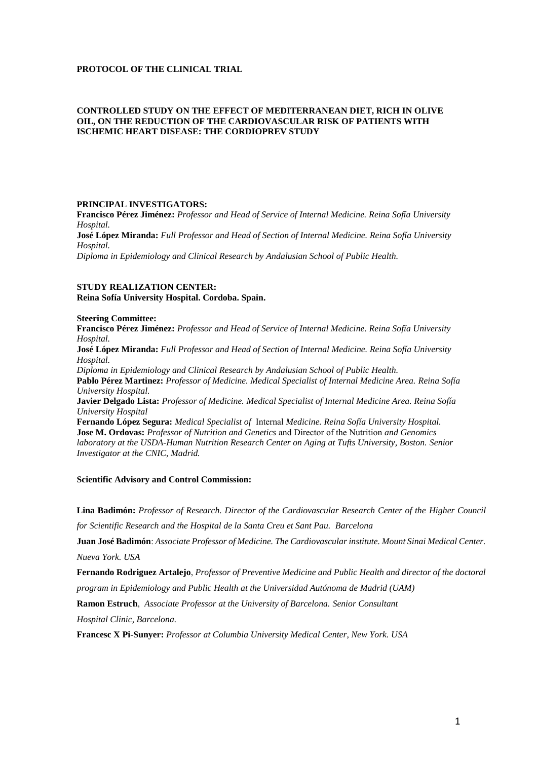## **PROTOCOL OF THE CLINICAL TRIAL**

## **CONTROLLED STUDY ON THE EFFECT OF MEDITERRANEAN DIET, RICH IN OLIVE OIL, ON THE REDUCTION OF THE CARDIOVASCULAR RISK OF PATIENTS WITH ISCHEMIC HEART DISEASE: THE CORDIOPREV STUDY**

#### **PRINCIPAL INVESTIGATORS:**

**Francisco Pérez Jiménez:** *Professor and Head of Service of Internal Medicine. Reina Sofía University Hospital.*  **José López Miranda:** *Full Professor and Head of Section of Internal Medicine. Reina Sofía University* 

*Hospital.* 

*Diploma in Epidemiology and Clinical Research by Andalusian School of Public Health.* 

### **STUDY REALIZATION CENTER: Reina Sofía University Hospital. Cordoba. Spain.**

#### **Steering Committee:**

**Francisco Pérez Jiménez:** *Professor and Head of Service of Internal Medicine. Reina Sofía University Hospital.*  **José López Miranda:** *Full Professor and Head of Section of Internal Medicine. Reina Sofía University Hospital. Diploma in Epidemiology and Clinical Research by Andalusian School of Public Health.*  **Pablo Pérez Martinez:** *Professor of Medicine. Medical Specialist of Internal Medicine Area. Reina Sofía University Hospital.*  **Javier Delgado Lista:** *Professor of Medicine. Medical Specialist of Internal Medicine Area. Reina Sofía University Hospital*  **Fernando López Segura:** *Medical Specialist of* Internal *Medicine. Reina Sofía University Hospital.*  **Jose M. Ordovas:** *Professor of Nutrition and Genetics* and Director of the Nutrition *and Genomics laboratory at the USDA-Human Nutrition Research Center on Aging at Tufts University, Boston. Senior Investigator at the CNIC, Madrid.*

## **Scientific Advisory and Control Commission:**

**Lina Badimón:** *Professor of Research. Director of the Cardiovascular Research Center of the Higher Council* 

*for Scientific Research and the Hospital de la Santa Creu et Sant Pau. Barcelona* 

**Juan José Badimón**: *Associate Professor of Medicine. The Cardiovascular institute. Mount Sinai Medical Center.* 

*Nueva York. USA* 

**Fernando Rodriguez Artalejo**, *Professor of Preventive Medicine and Public Health and director of the doctoral program in Epidemiology and Public Health at the Universidad Autónoma de Madrid (UAM)* 

**Ramon Estruch**, *Associate Professor at the University of Barcelona. Senior Consultant* 

*Hospital Clinic, Barcelona.* 

**Francesc X Pi-Sunyer:** *Professor at Columbia University Medical Center, New York. USA*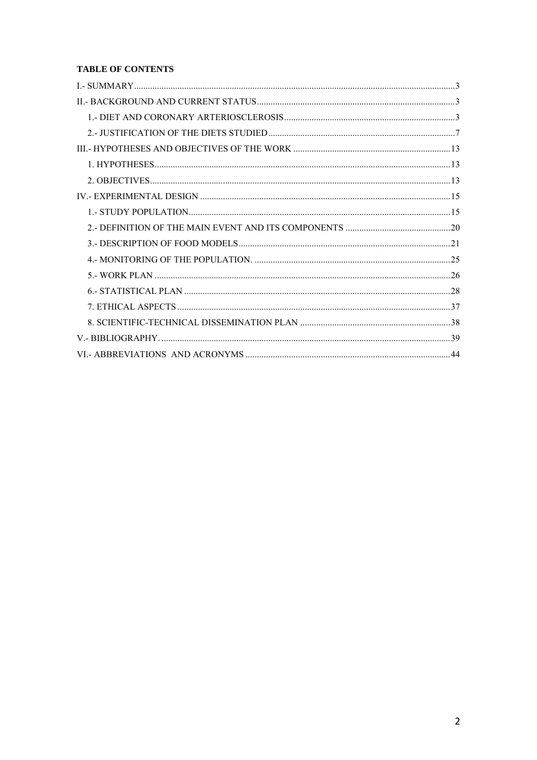## **TABLE OF CONTENTS**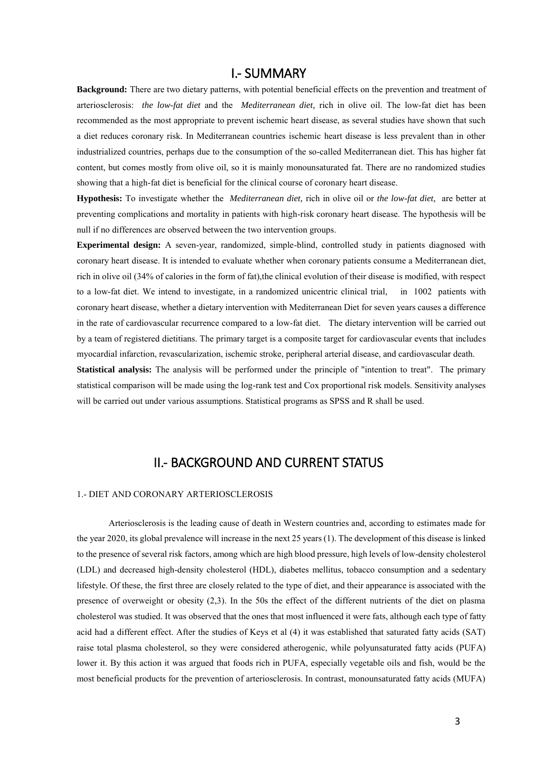# I.- SUMMARY

<span id="page-2-0"></span>**Background:** There are two dietary patterns, with potential beneficial effects on the prevention and treatment of arteriosclerosis: *the low-fat diet* and the *Mediterranean diet,* rich in olive oil. The low-fat diet has been recommended as the most appropriate to prevent ischemic heart disease, as several studies have shown that such a diet reduces coronary risk. In Mediterranean countries ischemic heart disease is less prevalent than in other industrialized countries, perhaps due to the consumption of the so-called Mediterranean diet. This has higher fat content, but comes mostly from olive oil, so it is mainly monounsaturated fat. There are no randomized studies showing that a high-fat diet is beneficial for the clinical course of coronary heart disease.

**Hypothesis:** To investigate whether the *Mediterranean diet,* rich in olive oil or *the low-fat diet,* are better at preventing complications and mortality in patients with high-risk coronary heart disease. The hypothesis will be null if no differences are observed between the two intervention groups.

**Experimental design:** A seven-year, randomized, simple-blind, controlled study in patients diagnosed with coronary heart disease. It is intended to evaluate whether when coronary patients consume a Mediterranean diet, rich in olive oil (34% of calories in the form of fat),the clinical evolution of their disease is modified, with respect to a low-fat diet. We intend to investigate, in a randomized unicentric clinical trial, in 1002 patients with coronary heart disease, whether a dietary intervention with Mediterranean Diet for seven years causes a difference in the rate of cardiovascular recurrence compared to a low-fat diet. The dietary intervention will be carried out by a team of registered dietitians. The primary target is a composite target for cardiovascular events that includes myocardial infarction, revascularization, ischemic stroke, peripheral arterial disease, and cardiovascular death.

**Statistical analysis:** The analysis will be performed under the principle of "intention to treat". The primary statistical comparison will be made using the log-rank test and Cox proportional risk models. Sensitivity analyses will be carried out under various assumptions. Statistical programs as SPSS and R shall be used.

# II.- BACKGROUND AND CURRENT STATUS

## <span id="page-2-2"></span><span id="page-2-1"></span>1.- DIET AND CORONARY ARTERIOSCLEROSIS

 Arteriosclerosis is the leading cause of death in Western countries and, according to estimates made for the year 2020, its global prevalence will increase in the next 25 years (1). The development of this disease is linked to the presence of several risk factors, among which are high blood pressure, high levels of low-density cholesterol (LDL) and decreased high-density cholesterol (HDL), diabetes mellitus, tobacco consumption and a sedentary lifestyle. Of these, the first three are closely related to the type of diet, and their appearance is associated with the presence of overweight or obesity (2,3). In the 50s the effect of the different nutrients of the diet on plasma cholesterol was studied. It was observed that the ones that most influenced it were fats, although each type of fatty acid had a different effect. After the studies of Keys et al (4) it was established that saturated fatty acids (SAT) raise total plasma cholesterol, so they were considered atherogenic, while polyunsaturated fatty acids (PUFA) lower it. By this action it was argued that foods rich in PUFA, especially vegetable oils and fish, would be the most beneficial products for the prevention of arteriosclerosis. In contrast, monounsaturated fatty acids (MUFA)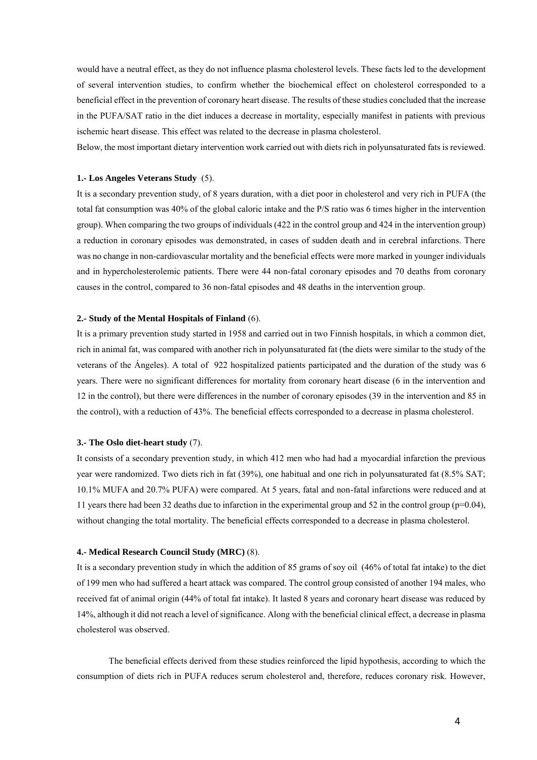would have a neutral effect, as they do not influence plasma cholesterol levels. These facts led to the development of several intervention studies, to confirm whether the biochemical effect on cholesterol corresponded to a beneficial effect in the prevention of coronary heart disease. The results of these studies concluded that the increase in the PUFA/SAT ratio in the diet induces a decrease in mortality, especially manifest in patients with previous ischemic heart disease. This effect was related to the decrease in plasma cholesterol.

Below, the most important dietary intervention work carried out with diets rich in polyunsaturated fats is reviewed.

#### **1.- Los Angeles Veterans Study** (5).

It is a secondary prevention study, of 8 years duration, with a diet poor in cholesterol and very rich in PUFA (the total fat consumption was 40% of the global caloric intake and the P/S ratio was 6 times higher in the intervention group). When comparing the two groups of individuals (422 in the control group and 424 in the intervention group) a reduction in coronary episodes was demonstrated, in cases of sudden death and in cerebral infarctions. There was no change in non-cardiovascular mortality and the beneficial effects were more marked in younger individuals and in hypercholesterolemic patients. There were 44 non-fatal coronary episodes and 70 deaths from coronary causes in the control, compared to 36 non-fatal episodes and 48 deaths in the intervention group.

#### **2.- Study of the Mental Hospitals of Finland** (6).

It is a primary prevention study started in 1958 and carried out in two Finnish hospitals, in which a common diet, rich in animal fat, was compared with another rich in polyunsaturated fat (the diets were similar to the study of the veterans of the Ángeles). A total of 922 hospitalized patients participated and the duration of the study was 6 years. There were no significant differences for mortality from coronary heart disease (6 in the intervention and 12 in the control), but there were differences in the number of coronary episodes (39 in the intervention and 85 in the control), with a reduction of 43%. The beneficial effects corresponded to a decrease in plasma cholesterol.

#### **3.- The Oslo diet-heart study** (7).

It consists of a secondary prevention study, in which 412 men who had had a myocardial infarction the previous year were randomized. Two diets rich in fat (39%), one habitual and one rich in polyunsaturated fat (8.5% SAT; 10.1% MUFA and 20.7% PUFA) were compared. At 5 years, fatal and non-fatal infarctions were reduced and at 11 years there had been 32 deaths due to infarction in the experimental group and 52 in the control group (p=0.04), without changing the total mortality. The beneficial effects corresponded to a decrease in plasma cholesterol.

#### **4.- Medical Research Council Study (MRC)** (8).

It is a secondary prevention study in which the addition of 85 grams of soy oil (46% of total fat intake) to the diet of 199 men who had suffered a heart attack was compared. The control group consisted of another 194 males, who received fat of animal origin (44% of total fat intake). It lasted 8 years and coronary heart disease was reduced by 14%, although it did not reach a level of significance. Along with the beneficial clinical effect, a decrease in plasma cholesterol was observed.

The beneficial effects derived from these studies reinforced the lipid hypothesis, according to which the consumption of diets rich in PUFA reduces serum cholesterol and, therefore, reduces coronary risk. However,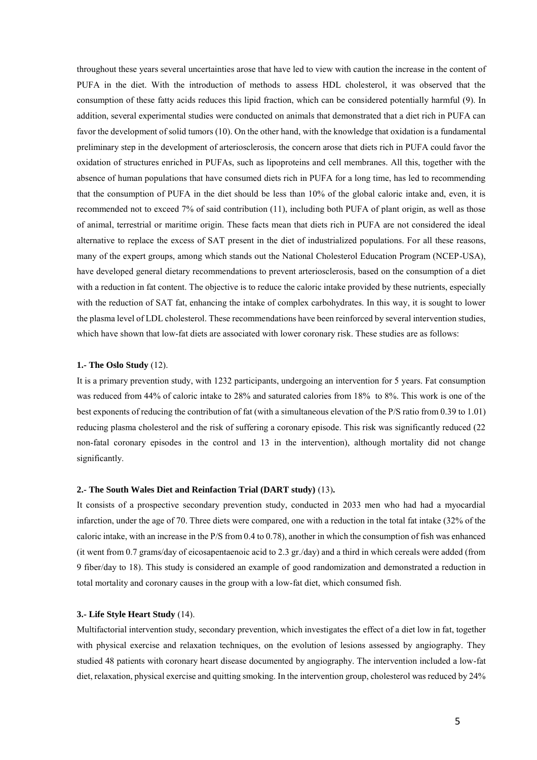throughout these years several uncertainties arose that have led to view with caution the increase in the content of PUFA in the diet. With the introduction of methods to assess HDL cholesterol, it was observed that the consumption of these fatty acids reduces this lipid fraction, which can be considered potentially harmful (9). In addition, several experimental studies were conducted on animals that demonstrated that a diet rich in PUFA can favor the development of solid tumors (10). On the other hand, with the knowledge that oxidation is a fundamental preliminary step in the development of arteriosclerosis, the concern arose that diets rich in PUFA could favor the oxidation of structures enriched in PUFAs, such as lipoproteins and cell membranes. All this, together with the absence of human populations that have consumed diets rich in PUFA for a long time, has led to recommending that the consumption of PUFA in the diet should be less than 10% of the global caloric intake and, even, it is recommended not to exceed 7% of said contribution (11), including both PUFA of plant origin, as well as those of animal, terrestrial or maritime origin. These facts mean that diets rich in PUFA are not considered the ideal alternative to replace the excess of SAT present in the diet of industrialized populations. For all these reasons, many of the expert groups, among which stands out the National Cholesterol Education Program (NCEP-USA), have developed general dietary recommendations to prevent arteriosclerosis, based on the consumption of a diet with a reduction in fat content. The objective is to reduce the caloric intake provided by these nutrients, especially with the reduction of SAT fat, enhancing the intake of complex carbohydrates. In this way, it is sought to lower the plasma level of LDL cholesterol. These recommendations have been reinforced by several intervention studies, which have shown that low-fat diets are associated with lower coronary risk. These studies are as follows:

#### **1.- The Oslo Study** (12).

It is a primary prevention study, with 1232 participants, undergoing an intervention for 5 years. Fat consumption was reduced from 44% of caloric intake to 28% and saturated calories from 18% to 8%. This work is one of the best exponents of reducing the contribution of fat (with a simultaneous elevation of the P/S ratio from 0.39 to 1.01) reducing plasma cholesterol and the risk of suffering a coronary episode. This risk was significantly reduced (22 non-fatal coronary episodes in the control and 13 in the intervention), although mortality did not change significantly.

## **2.- The South Wales Diet and Reinfaction Trial (DART study)** (13)**.**

It consists of a prospective secondary prevention study, conducted in 2033 men who had had a myocardial infarction, under the age of 70. Three diets were compared, one with a reduction in the total fat intake (32% of the caloric intake, with an increase in the P/S from 0.4 to 0.78), another in which the consumption of fish was enhanced (it went from 0.7 grams/day of eicosapentaenoic acid to 2.3 gr./day) and a third in which cereals were added (from 9 fiber/day to 18). This study is considered an example of good randomization and demonstrated a reduction in total mortality and coronary causes in the group with a low-fat diet, which consumed fish.

#### **3.- Life Style Heart Study** (14).

Multifactorial intervention study, secondary prevention, which investigates the effect of a diet low in fat, together with physical exercise and relaxation techniques, on the evolution of lesions assessed by angiography. They studied 48 patients with coronary heart disease documented by angiography. The intervention included a low-fat diet, relaxation, physical exercise and quitting smoking. In the intervention group, cholesterol was reduced by 24%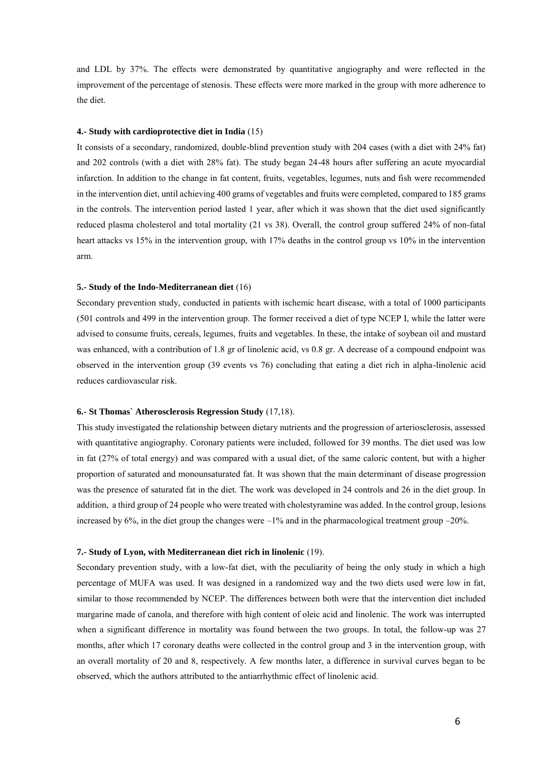and LDL by 37%. The effects were demonstrated by quantitative angiography and were reflected in the improvement of the percentage of stenosis. These effects were more marked in the group with more adherence to the diet.

#### **4.- Study with cardioprotective diet in India** (15)

It consists of a secondary, randomized, double-blind prevention study with 204 cases (with a diet with 24% fat) and 202 controls (with a diet with 28% fat). The study began 24-48 hours after suffering an acute myocardial infarction. In addition to the change in fat content, fruits, vegetables, legumes, nuts and fish were recommended in the intervention diet, until achieving 400 grams of vegetables and fruits were completed, compared to 185 grams in the controls. The intervention period lasted 1 year, after which it was shown that the diet used significantly reduced plasma cholesterol and total mortality (21 vs 38). Overall, the control group suffered 24% of non-fatal heart attacks vs 15% in the intervention group, with 17% deaths in the control group vs 10% in the intervention arm.

#### **5.- Study of the Indo-Mediterranean diet** (16)

Secondary prevention study, conducted in patients with ischemic heart disease, with a total of 1000 participants (501 controls and 499 in the intervention group. The former received a diet of type NCEP I, while the latter were advised to consume fruits, cereals, legumes, fruits and vegetables. In these, the intake of soybean oil and mustard was enhanced, with a contribution of 1.8 gr of linolenic acid, vs 0.8 gr. A decrease of a compound endpoint was observed in the intervention group (39 events vs 76) concluding that eating a diet rich in alpha-linolenic acid reduces cardiovascular risk.

#### **6.- St Thomas` Atherosclerosis Regression Study** (17,18).

This study investigated the relationship between dietary nutrients and the progression of arteriosclerosis, assessed with quantitative angiography. Coronary patients were included, followed for 39 months. The diet used was low in fat (27% of total energy) and was compared with a usual diet, of the same caloric content, but with a higher proportion of saturated and monounsaturated fat. It was shown that the main determinant of disease progression was the presence of saturated fat in the diet. The work was developed in 24 controls and 26 in the diet group. In addition, a third group of 24 people who were treated with cholestyramine was added. In the control group, lesions increased by  $6\%$ , in the diet group the changes were  $-1\%$  and in the pharmacological treatment group  $-20\%$ .

#### **7.- Study of Lyon, with Mediterranean diet rich in linolenic** (19).

Secondary prevention study, with a low-fat diet, with the peculiarity of being the only study in which a high percentage of MUFA was used. It was designed in a randomized way and the two diets used were low in fat, similar to those recommended by NCEP. The differences between both were that the intervention diet included margarine made of canola, and therefore with high content of oleic acid and linolenic. The work was interrupted when a significant difference in mortality was found between the two groups. In total, the follow-up was 27 months, after which 17 coronary deaths were collected in the control group and 3 in the intervention group, with an overall mortality of 20 and 8, respectively. A few months later, a difference in survival curves began to be observed, which the authors attributed to the antiarrhythmic effect of linolenic acid.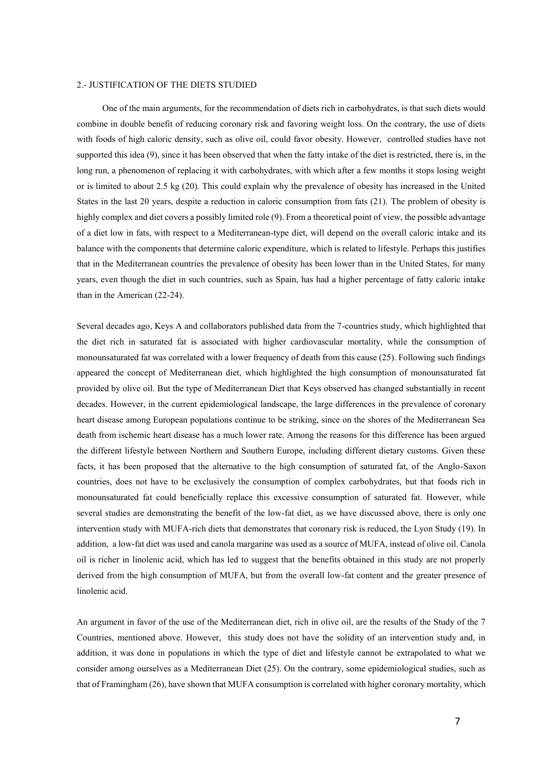## <span id="page-6-0"></span>2.- JUSTIFICATION OF THE DIETS STUDIED

One of the main arguments, for the recommendation of diets rich in carbohydrates, is that such diets would combine in double benefit of reducing coronary risk and favoring weight loss. On the contrary, the use of diets with foods of high caloric density, such as olive oil, could favor obesity. However, controlled studies have not supported this idea (9), since it has been observed that when the fatty intake of the diet is restricted, there is, in the long run, a phenomenon of replacing it with carbohydrates, with which after a few months it stops losing weight or is limited to about 2.5 kg (20). This could explain why the prevalence of obesity has increased in the United States in the last 20 years, despite a reduction in caloric consumption from fats (21). The problem of obesity is highly complex and diet covers a possibly limited role (9). From a theoretical point of view, the possible advantage of a diet low in fats, with respect to a Mediterranean-type diet, will depend on the overall caloric intake and its balance with the components that determine caloric expenditure, which is related to lifestyle. Perhaps this justifies that in the Mediterranean countries the prevalence of obesity has been lower than in the United States, for many years, even though the diet in such countries, such as Spain, has had a higher percentage of fatty caloric intake than in the American (22-24).

Several decades ago, Keys A and collaborators published data from the 7-countries study, which highlighted that the diet rich in saturated fat is associated with higher cardiovascular mortality, while the consumption of monounsaturated fat was correlated with a lower frequency of death from this cause (25). Following such findings appeared the concept of Mediterranean diet, which highlighted the high consumption of monounsaturated fat provided by olive oil. But the type of Mediterranean Diet that Keys observed has changed substantially in recent decades. However, in the current epidemiological landscape, the large differences in the prevalence of coronary heart disease among European populations continue to be striking, since on the shores of the Mediterranean Sea death from ischemic heart disease has a much lower rate. Among the reasons for this difference has been argued the different lifestyle between Northern and Southern Europe, including different dietary customs. Given these facts, it has been proposed that the alternative to the high consumption of saturated fat, of the Anglo-Saxon countries, does not have to be exclusively the consumption of complex carbohydrates, but that foods rich in monounsaturated fat could beneficially replace this excessive consumption of saturated fat. However, while several studies are demonstrating the benefit of the low-fat diet, as we have discussed above, there is only one intervention study with MUFA-rich diets that demonstrates that coronary risk is reduced, the Lyon Study (19). In addition, a low-fat diet was used and canola margarine was used as a source of MUFA, instead of olive oil. Canola oil is richer in linolenic acid, which has led to suggest that the benefits obtained in this study are not properly derived from the high consumption of MUFA, but from the overall low-fat content and the greater presence of linolenic acid.

An argument in favor of the use of the Mediterranean diet, rich in olive oil, are the results of the Study of the 7 Countries, mentioned above. However, this study does not have the solidity of an intervention study and, in addition, it was done in populations in which the type of diet and lifestyle cannot be extrapolated to what we consider among ourselves as a Mediterranean Diet (25). On the contrary, some epidemiological studies, such as that of Framingham (26), have shown that MUFA consumption is correlated with higher coronary mortality, which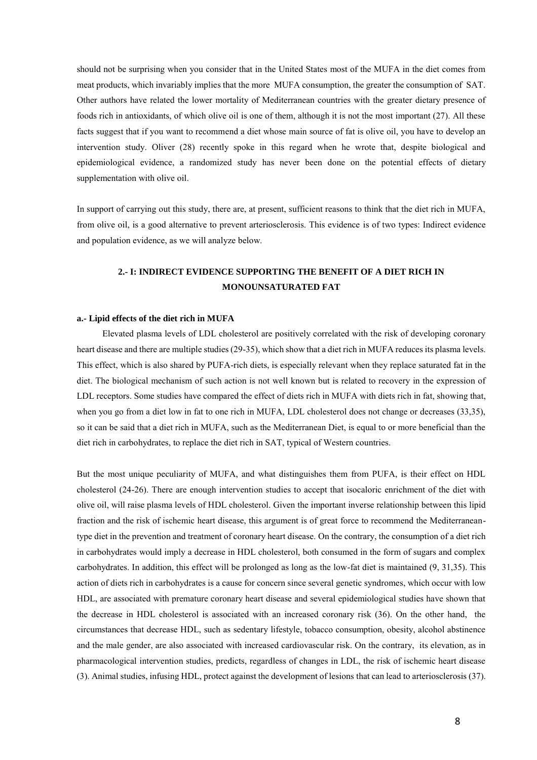should not be surprising when you consider that in the United States most of the MUFA in the diet comes from meat products, which invariably implies that the more MUFA consumption, the greater the consumption of SAT. Other authors have related the lower mortality of Mediterranean countries with the greater dietary presence of foods rich in antioxidants, of which olive oil is one of them, although it is not the most important (27). All these facts suggest that if you want to recommend a diet whose main source of fat is olive oil, you have to develop an intervention study. Oliver (28) recently spoke in this regard when he wrote that, despite biological and epidemiological evidence, a randomized study has never been done on the potential effects of dietary supplementation with olive oil.

In support of carrying out this study, there are, at present, sufficient reasons to think that the diet rich in MUFA, from olive oil, is a good alternative to prevent arteriosclerosis. This evidence is of two types: Indirect evidence and population evidence, as we will analyze below.

# **2.- I: INDIRECT EVIDENCE SUPPORTING THE BENEFIT OF A DIET RICH IN MONOUNSATURATED FAT**

#### **a.- Lipid effects of the diet rich in MUFA**

Elevated plasma levels of LDL cholesterol are positively correlated with the risk of developing coronary heart disease and there are multiple studies (29-35), which show that a diet rich in MUFA reduces its plasma levels. This effect, which is also shared by PUFA-rich diets, is especially relevant when they replace saturated fat in the diet. The biological mechanism of such action is not well known but is related to recovery in the expression of LDL receptors. Some studies have compared the effect of diets rich in MUFA with diets rich in fat, showing that, when you go from a diet low in fat to one rich in MUFA, LDL cholesterol does not change or decreases (33,35), so it can be said that a diet rich in MUFA, such as the Mediterranean Diet, is equal to or more beneficial than the diet rich in carbohydrates, to replace the diet rich in SAT, typical of Western countries.

But the most unique peculiarity of MUFA, and what distinguishes them from PUFA, is their effect on HDL cholesterol (24-26). There are enough intervention studies to accept that isocaloric enrichment of the diet with olive oil, will raise plasma levels of HDL cholesterol. Given the important inverse relationship between this lipid fraction and the risk of ischemic heart disease, this argument is of great force to recommend the Mediterraneantype diet in the prevention and treatment of coronary heart disease. On the contrary, the consumption of a diet rich in carbohydrates would imply a decrease in HDL cholesterol, both consumed in the form of sugars and complex carbohydrates. In addition, this effect will be prolonged as long as the low-fat diet is maintained (9, 31,35). This action of diets rich in carbohydrates is a cause for concern since several genetic syndromes, which occur with low HDL, are associated with premature coronary heart disease and several epidemiological studies have shown that the decrease in HDL cholesterol is associated with an increased coronary risk (36). On the other hand, the circumstances that decrease HDL, such as sedentary lifestyle, tobacco consumption, obesity, alcohol abstinence and the male gender, are also associated with increased cardiovascular risk. On the contrary, its elevation, as in pharmacological intervention studies, predicts, regardless of changes in LDL, the risk of ischemic heart disease (3). Animal studies, infusing HDL, protect against the development of lesions that can lead to arteriosclerosis (37).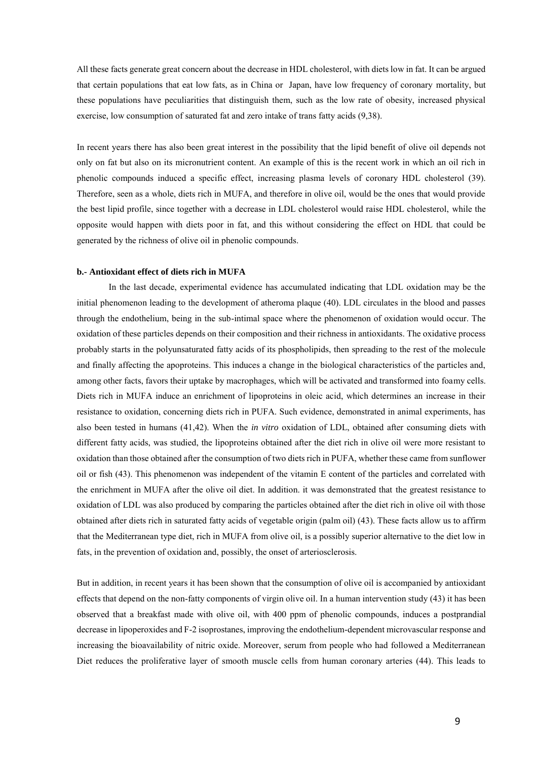All these facts generate great concern about the decrease in HDL cholesterol, with diets low in fat. It can be argued that certain populations that eat low fats, as in China or Japan, have low frequency of coronary mortality, but these populations have peculiarities that distinguish them, such as the low rate of obesity, increased physical exercise, low consumption of saturated fat and zero intake of trans fatty acids (9,38).

In recent years there has also been great interest in the possibility that the lipid benefit of olive oil depends not only on fat but also on its micronutrient content. An example of this is the recent work in which an oil rich in phenolic compounds induced a specific effect, increasing plasma levels of coronary HDL cholesterol (39). Therefore, seen as a whole, diets rich in MUFA, and therefore in olive oil, would be the ones that would provide the best lipid profile, since together with a decrease in LDL cholesterol would raise HDL cholesterol, while the opposite would happen with diets poor in fat, and this without considering the effect on HDL that could be generated by the richness of olive oil in phenolic compounds.

## **b.- Antioxidant effect of diets rich in MUFA**

 In the last decade, experimental evidence has accumulated indicating that LDL oxidation may be the initial phenomenon leading to the development of atheroma plaque (40). LDL circulates in the blood and passes through the endothelium, being in the sub-intimal space where the phenomenon of oxidation would occur. The oxidation of these particles depends on their composition and their richness in antioxidants. The oxidative process probably starts in the polyunsaturated fatty acids of its phospholipids, then spreading to the rest of the molecule and finally affecting the apoproteins. This induces a change in the biological characteristics of the particles and, among other facts, favors their uptake by macrophages, which will be activated and transformed into foamy cells. Diets rich in MUFA induce an enrichment of lipoproteins in oleic acid, which determines an increase in their resistance to oxidation, concerning diets rich in PUFA. Such evidence, demonstrated in animal experiments, has also been tested in humans (41,42). When the *in vitro* oxidation of LDL, obtained after consuming diets with different fatty acids, was studied, the lipoproteins obtained after the diet rich in olive oil were more resistant to oxidation than those obtained after the consumption of two diets rich in PUFA, whether these came from sunflower oil or fish (43). This phenomenon was independent of the vitamin E content of the particles and correlated with the enrichment in MUFA after the olive oil diet. In addition. it was demonstrated that the greatest resistance to oxidation of LDL was also produced by comparing the particles obtained after the diet rich in olive oil with those obtained after diets rich in saturated fatty acids of vegetable origin (palm oil) (43). These facts allow us to affirm that the Mediterranean type diet, rich in MUFA from olive oil, is a possibly superior alternative to the diet low in fats, in the prevention of oxidation and, possibly, the onset of arteriosclerosis.

But in addition, in recent years it has been shown that the consumption of olive oil is accompanied by antioxidant effects that depend on the non-fatty components of virgin olive oil. In a human intervention study (43) it has been observed that a breakfast made with olive oil, with 400 ppm of phenolic compounds, induces a postprandial decrease in lipoperoxides and F-2 isoprostanes, improving the endothelium-dependent microvascular response and increasing the bioavailability of nitric oxide. Moreover, serum from people who had followed a Mediterranean Diet reduces the proliferative layer of smooth muscle cells from human coronary arteries (44). This leads to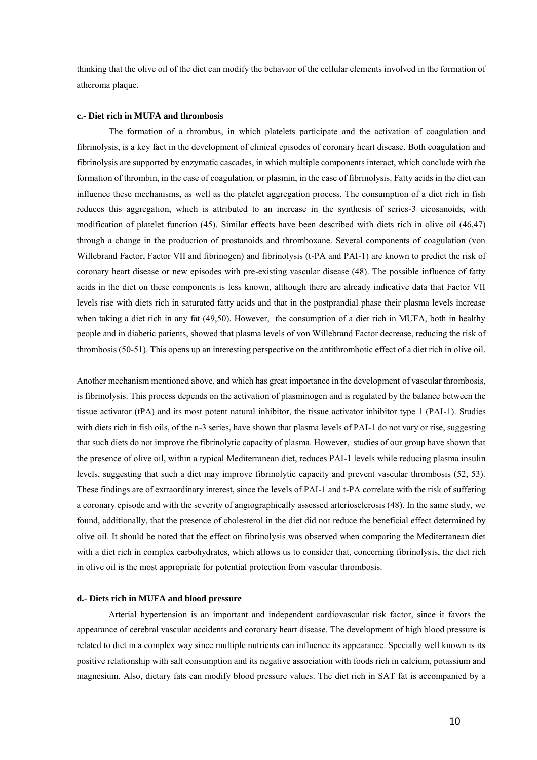thinking that the olive oil of the diet can modify the behavior of the cellular elements involved in the formation of atheroma plaque.

#### **c.- Diet rich in MUFA and thrombosis**

The formation of a thrombus, in which platelets participate and the activation of coagulation and fibrinolysis, is a key fact in the development of clinical episodes of coronary heart disease. Both coagulation and fibrinolysis are supported by enzymatic cascades, in which multiple components interact, which conclude with the formation of thrombin, in the case of coagulation, or plasmin, in the case of fibrinolysis. Fatty acids in the diet can influence these mechanisms, as well as the platelet aggregation process. The consumption of a diet rich in fish reduces this aggregation, which is attributed to an increase in the synthesis of series-3 eicosanoids, with modification of platelet function (45). Similar effects have been described with diets rich in olive oil (46,47) through a change in the production of prostanoids and thromboxane. Several components of coagulation (von Willebrand Factor, Factor VII and fibrinogen) and fibrinolysis (t-PA and PAI-1) are known to predict the risk of coronary heart disease or new episodes with pre-existing vascular disease (48). The possible influence of fatty acids in the diet on these components is less known, although there are already indicative data that Factor VII levels rise with diets rich in saturated fatty acids and that in the postprandial phase their plasma levels increase when taking a diet rich in any fat (49,50). However, the consumption of a diet rich in MUFA, both in healthy people and in diabetic patients, showed that plasma levels of von Willebrand Factor decrease, reducing the risk of thrombosis (50-51). This opens up an interesting perspective on the antithrombotic effect of a diet rich in olive oil.

Another mechanism mentioned above, and which has great importance in the development of vascular thrombosis, is fibrinolysis. This process depends on the activation of plasminogen and is regulated by the balance between the tissue activator (tPA) and its most potent natural inhibitor, the tissue activator inhibitor type 1 (PAI-1). Studies with diets rich in fish oils, of the n-3 series, have shown that plasma levels of PAI-1 do not vary or rise, suggesting that such diets do not improve the fibrinolytic capacity of plasma. However, studies of our group have shown that the presence of olive oil, within a typical Mediterranean diet, reduces PAI-1 levels while reducing plasma insulin levels, suggesting that such a diet may improve fibrinolytic capacity and prevent vascular thrombosis (52, 53). These findings are of extraordinary interest, since the levels of PAI-1 and t-PA correlate with the risk of suffering a coronary episode and with the severity of angiographically assessed arteriosclerosis (48). In the same study, we found, additionally, that the presence of cholesterol in the diet did not reduce the beneficial effect determined by olive oil. It should be noted that the effect on fibrinolysis was observed when comparing the Mediterranean diet with a diet rich in complex carbohydrates, which allows us to consider that, concerning fibrinolysis, the diet rich in olive oil is the most appropriate for potential protection from vascular thrombosis.

### **d.- Diets rich in MUFA and blood pressure**

 Arterial hypertension is an important and independent cardiovascular risk factor, since it favors the appearance of cerebral vascular accidents and coronary heart disease. The development of high blood pressure is related to diet in a complex way since multiple nutrients can influence its appearance. Specially well known is its positive relationship with salt consumption and its negative association with foods rich in calcium, potassium and magnesium. Also, dietary fats can modify blood pressure values. The diet rich in SAT fat is accompanied by a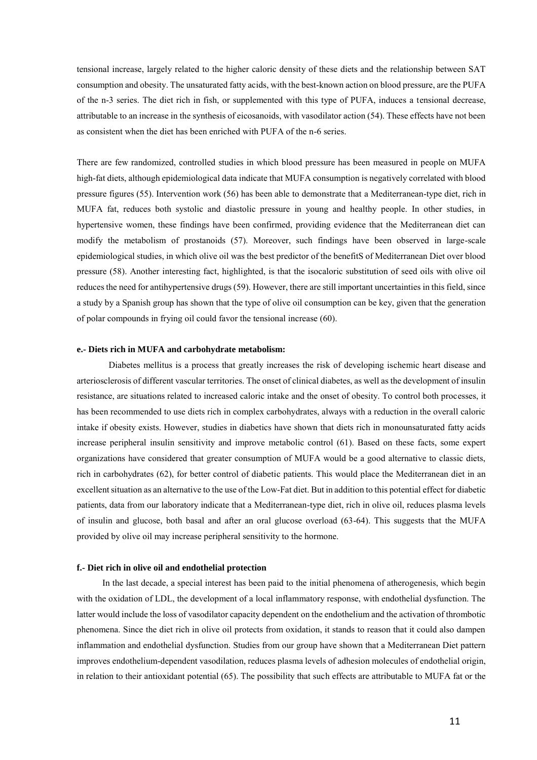tensional increase, largely related to the higher caloric density of these diets and the relationship between SAT consumption and obesity. The unsaturated fatty acids, with the best-known action on blood pressure, are the PUFA of the n-3 series. The diet rich in fish, or supplemented with this type of PUFA, induces a tensional decrease, attributable to an increase in the synthesis of eicosanoids, with vasodilator action (54). These effects have not been as consistent when the diet has been enriched with PUFA of the n-6 series.

There are few randomized, controlled studies in which blood pressure has been measured in people on MUFA high-fat diets, although epidemiological data indicate that MUFA consumption is negatively correlated with blood pressure figures (55). Intervention work (56) has been able to demonstrate that a Mediterranean-type diet, rich in MUFA fat, reduces both systolic and diastolic pressure in young and healthy people. In other studies, in hypertensive women, these findings have been confirmed, providing evidence that the Mediterranean diet can modify the metabolism of prostanoids (57). Moreover, such findings have been observed in large-scale epidemiological studies, in which olive oil was the best predictor of the benefitS of Mediterranean Diet over blood pressure (58). Another interesting fact, highlighted, is that the isocaloric substitution of seed oils with olive oil reduces the need for antihypertensive drugs (59). However, there are still important uncertainties in this field, since a study by a Spanish group has shown that the type of olive oil consumption can be key, given that the generation of polar compounds in frying oil could favor the tensional increase (60).

#### **e.- Diets rich in MUFA and carbohydrate metabolism:**

 Diabetes mellitus is a process that greatly increases the risk of developing ischemic heart disease and arteriosclerosis of different vascular territories. The onset of clinical diabetes, as well as the development of insulin resistance, are situations related to increased caloric intake and the onset of obesity. To control both processes, it has been recommended to use diets rich in complex carbohydrates, always with a reduction in the overall caloric intake if obesity exists. However, studies in diabetics have shown that diets rich in monounsaturated fatty acids increase peripheral insulin sensitivity and improve metabolic control (61). Based on these facts, some expert organizations have considered that greater consumption of MUFA would be a good alternative to classic diets, rich in carbohydrates (62), for better control of diabetic patients. This would place the Mediterranean diet in an excellent situation as an alternative to the use of the Low-Fat diet. But in addition to this potential effect for diabetic patients, data from our laboratory indicate that a Mediterranean-type diet, rich in olive oil, reduces plasma levels of insulin and glucose, both basal and after an oral glucose overload (63-64). This suggests that the MUFA provided by olive oil may increase peripheral sensitivity to the hormone.

## **f.- Diet rich in olive oil and endothelial protection**

In the last decade, a special interest has been paid to the initial phenomena of atherogenesis, which begin with the oxidation of LDL, the development of a local inflammatory response, with endothelial dysfunction. The latter would include the loss of vasodilator capacity dependent on the endothelium and the activation of thrombotic phenomena. Since the diet rich in olive oil protects from oxidation, it stands to reason that it could also dampen inflammation and endothelial dysfunction. Studies from our group have shown that a Mediterranean Diet pattern improves endothelium-dependent vasodilation, reduces plasma levels of adhesion molecules of endothelial origin, in relation to their antioxidant potential (65). The possibility that such effects are attributable to MUFA fat or the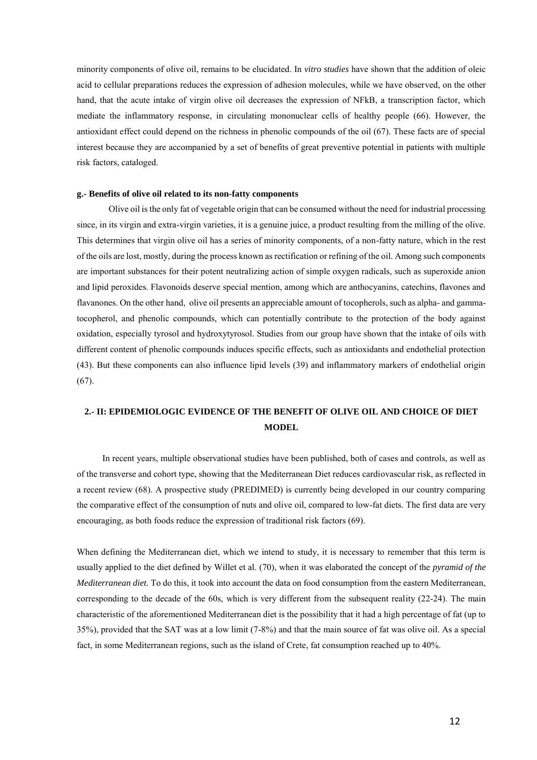minority components of olive oil, remains to be elucidated. In *vitro studies* have shown that the addition of oleic acid to cellular preparations reduces the expression of adhesion molecules, while we have observed, on the other hand, that the acute intake of virgin olive oil decreases the expression of NFkB, a transcription factor, which mediate the inflammatory response, in circulating mononuclear cells of healthy people (66). However, the antioxidant effect could depend on the richness in phenolic compounds of the oil (67). These facts are of special interest because they are accompanied by a set of benefits of great preventive potential in patients with multiple risk factors, cataloged.

#### **g.- Benefits of olive oil related to its non-fatty components**

 Olive oil is the only fat of vegetable origin that can be consumed without the need for industrial processing since, in its virgin and extra-virgin varieties, it is a genuine juice, a product resulting from the milling of the olive. This determines that virgin olive oil has a series of minority components, of a non-fatty nature, which in the rest of the oils are lost, mostly, during the process known as rectification or refining of the oil. Among such components are important substances for their potent neutralizing action of simple oxygen radicals, such as superoxide anion and lipid peroxides. Flavonoids deserve special mention, among which are anthocyanins, catechins, flavones and flavanones. On the other hand, olive oil presents an appreciable amount of tocopherols, such as alpha- and gammatocopherol, and phenolic compounds, which can potentially contribute to the protection of the body against oxidation, especially tyrosol and hydroxytyrosol. Studies from our group have shown that the intake of oils with different content of phenolic compounds induces specific effects, such as antioxidants and endothelial protection (43). But these components can also influence lipid levels (39) and inflammatory markers of endothelial origin (67).

# **2.- II: EPIDEMIOLOGIC EVIDENCE OF THE BENEFIT OF OLIVE OIL AND CHOICE OF DIET MODEL**

In recent years, multiple observational studies have been published, both of cases and controls, as well as of the transverse and cohort type, showing that the Mediterranean Diet reduces cardiovascular risk, as reflected in a recent review (68). A prospective study (PREDIMED) is currently being developed in our country comparing the comparative effect of the consumption of nuts and olive oil, compared to low-fat diets. The first data are very encouraging, as both foods reduce the expression of traditional risk factors (69).

When defining the Mediterranean diet, which we intend to study, it is necessary to remember that this term is usually applied to the diet defined by Willet et al. (70), when it was elaborated the concept of the *pyramid of the Mediterranean diet.* To do this, it took into account the data on food consumption from the eastern Mediterranean, corresponding to the decade of the 60s, which is very different from the subsequent reality (22-24). The main characteristic of the aforementioned Mediterranean diet is the possibility that it had a high percentage of fat (up to 35%), provided that the SAT was at a low limit (7-8%) and that the main source of fat was olive oil. As a special fact, in some Mediterranean regions, such as the island of Crete, fat consumption reached up to 40%.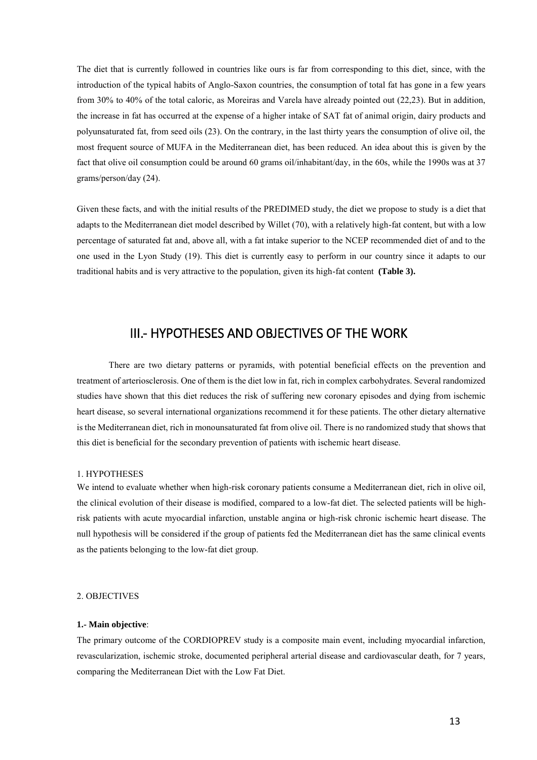The diet that is currently followed in countries like ours is far from corresponding to this diet, since, with the introduction of the typical habits of Anglo-Saxon countries, the consumption of total fat has gone in a few years from 30% to 40% of the total caloric, as Moreiras and Varela have already pointed out (22,23). But in addition, the increase in fat has occurred at the expense of a higher intake of SAT fat of animal origin, dairy products and polyunsaturated fat, from seed oils (23). On the contrary, in the last thirty years the consumption of olive oil, the most frequent source of MUFA in the Mediterranean diet, has been reduced. An idea about this is given by the fact that olive oil consumption could be around 60 grams oil/inhabitant/day, in the 60s, while the 1990s was at 37 grams/person/day (24).

Given these facts, and with the initial results of the PREDIMED study, the diet we propose to study is a diet that adapts to the Mediterranean diet model described by Willet (70), with a relatively high-fat content, but with a low percentage of saturated fat and, above all, with a fat intake superior to the NCEP recommended diet of and to the one used in the Lyon Study (19). This diet is currently easy to perform in our country since it adapts to our traditional habits and is very attractive to the population, given its high-fat content **(Table 3).** 

# III.- HYPOTHESES AND OBJECTIVES OF THE WORK

<span id="page-12-0"></span> There are two dietary patterns or pyramids, with potential beneficial effects on the prevention and treatment of arteriosclerosis. One of them is the diet low in fat, rich in complex carbohydrates. Several randomized studies have shown that this diet reduces the risk of suffering new coronary episodes and dying from ischemic heart disease, so several international organizations recommend it for these patients. The other dietary alternative is the Mediterranean diet, rich in monounsaturated fat from olive oil. There is no randomized study that shows that this diet is beneficial for the secondary prevention of patients with ischemic heart disease.

#### <span id="page-12-1"></span>1. HYPOTHESES

We intend to evaluate whether when high-risk coronary patients consume a Mediterranean diet, rich in olive oil, the clinical evolution of their disease is modified, compared to a low-fat diet. The selected patients will be highrisk patients with acute myocardial infarction, unstable angina or high-risk chronic ischemic heart disease. The null hypothesis will be considered if the group of patients fed the Mediterranean diet has the same clinical events as the patients belonging to the low-fat diet group.

#### <span id="page-12-2"></span>2. OBJECTIVES

#### **1.- Main objective**:

The primary outcome of the CORDIOPREV study is a composite main event, including myocardial infarction, revascularization, ischemic stroke, documented peripheral arterial disease and cardiovascular death, for 7 years, comparing the Mediterranean Diet with the Low Fat Diet.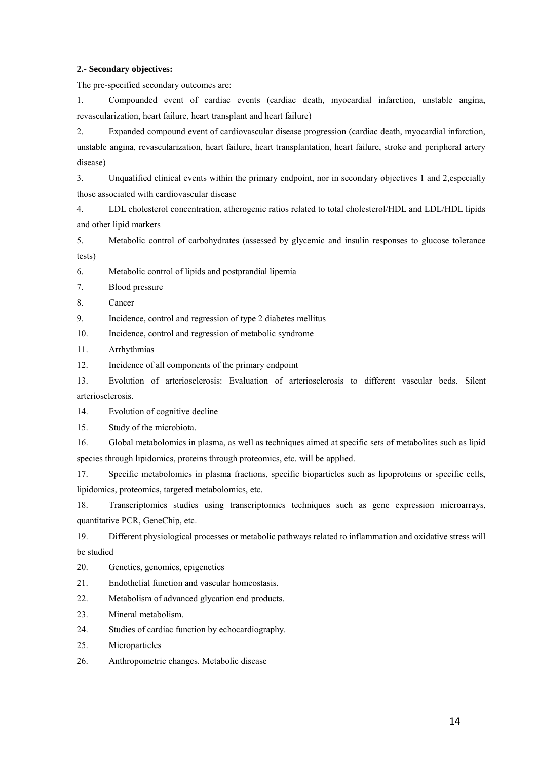## **2.- Secondary objectives:**

The pre-specified secondary outcomes are:

1. Compounded event of cardiac events (cardiac death, myocardial infarction, unstable angina, revascularization, heart failure, heart transplant and heart failure)

2. Expanded compound event of cardiovascular disease progression (cardiac death, myocardial infarction, unstable angina, revascularization, heart failure, heart transplantation, heart failure, stroke and peripheral artery disease)

3. Unqualified clinical events within the primary endpoint, nor in secondary objectives 1 and 2,especially those associated with cardiovascular disease

4. LDL cholesterol concentration, atherogenic ratios related to total cholesterol/HDL and LDL/HDL lipids and other lipid markers

5. Metabolic control of carbohydrates (assessed by glycemic and insulin responses to glucose tolerance tests)

6. Metabolic control of lipids and postprandial lipemia

7. Blood pressure

8. Cancer

9. Incidence, control and regression of type 2 diabetes mellitus

10. Incidence, control and regression of metabolic syndrome

11. Arrhythmias

12. Incidence of all components of the primary endpoint

13. Evolution of arteriosclerosis: Evaluation of arteriosclerosis to different vascular beds. Silent arteriosclerosis.

14. Evolution of cognitive decline

15. Study of the microbiota.

16. Global metabolomics in plasma, as well as techniques aimed at specific sets of metabolites such as lipid species through lipidomics, proteins through proteomics, etc. will be applied.

17. Specific metabolomics in plasma fractions, specific bioparticles such as lipoproteins or specific cells, lipidomics, proteomics, targeted metabolomics, etc.

18. Transcriptomics studies using transcriptomics techniques such as gene expression microarrays, quantitative PCR, GeneChip, etc.

19. Different physiological processes or metabolic pathways related to inflammation and oxidative stress will be studied

20. Genetics, genomics, epigenetics

21. Endothelial function and vascular homeostasis.

22. Metabolism of advanced glycation end products.

23. Mineral metabolism.

24. Studies of cardiac function by echocardiography.

25. Microparticles

26. Anthropometric changes. Metabolic disease

14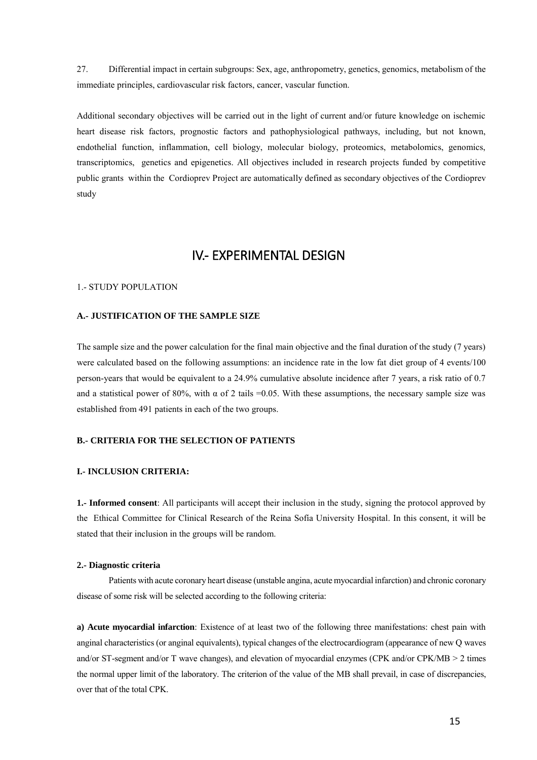27. Differential impact in certain subgroups: Sex, age, anthropometry, genetics, genomics, metabolism of the immediate principles, cardiovascular risk factors, cancer, vascular function.

Additional secondary objectives will be carried out in the light of current and/or future knowledge on ischemic heart disease risk factors, prognostic factors and pathophysiological pathways, including, but not known, endothelial function, inflammation, cell biology, molecular biology, proteomics, metabolomics, genomics, transcriptomics, genetics and epigenetics. All objectives included in research projects funded by competitive public grants within the Cordioprev Project are automatically defined as secondary objectives of the Cordioprev study

# IV.- EXPERIMENTAL DESIGN

## <span id="page-14-1"></span><span id="page-14-0"></span>1.- STUDY POPULATION

## **A.- JUSTIFICATION OF THE SAMPLE SIZE**

The sample size and the power calculation for the final main objective and the final duration of the study (7 years) were calculated based on the following assumptions: an incidence rate in the low fat diet group of 4 events/100 person-years that would be equivalent to a 24.9% cumulative absolute incidence after 7 years, a risk ratio of 0.7 and a statistical power of 80%, with  $\alpha$  of 2 tails =0.05. With these assumptions, the necessary sample size was established from 491 patients in each of the two groups.

## **B.- CRITERIA FOR THE SELECTION OF PATIENTS**

## **I.- INCLUSION CRITERIA:**

**1.- Informed consent**: All participants will accept their inclusion in the study, signing the protocol approved by the Ethical Committee for Clinical Research of the Reina Sofía University Hospital. In this consent, it will be stated that their inclusion in the groups will be random.

#### **2.- Diagnostic criteria**

 Patients with acute coronary heart disease (unstable angina, acute myocardial infarction) and chronic coronary disease of some risk will be selected according to the following criteria:

**a) Acute myocardial infarction**: Existence of at least two of the following three manifestations: chest pain with anginal characteristics (or anginal equivalents), typical changes of the electrocardiogram (appearance of new Q waves and/or ST-segment and/or T wave changes), and elevation of myocardial enzymes (CPK and/or CPK/MB > 2 times the normal upper limit of the laboratory. The criterion of the value of the MB shall prevail, in case of discrepancies, over that of the total CPK.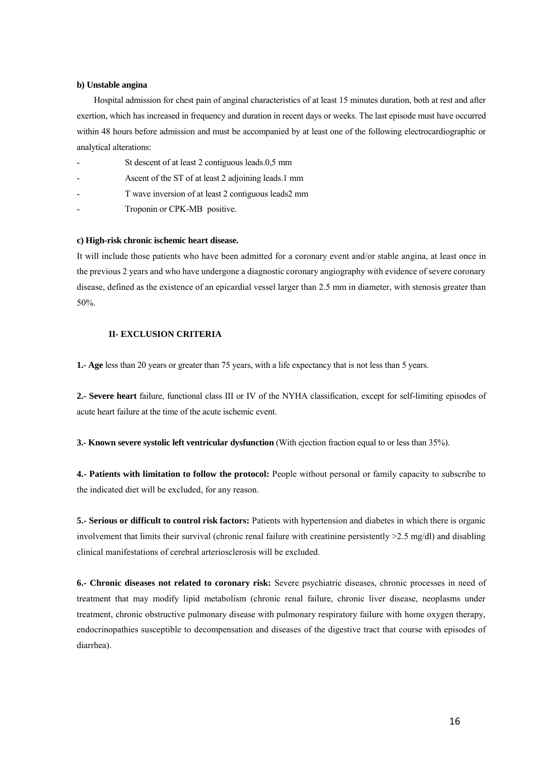#### **b) Unstable angina**

 Hospital admission for chest pain of anginal characteristics of at least 15 minutes duration, both at rest and after exertion, which has increased in frequency and duration in recent days or weeks. The last episode must have occurred within 48 hours before admission and must be accompanied by at least one of the following electrocardiographic or analytical alterations:

- St descent of at least 2 contiguous leads.0,5 mm
- Ascent of the ST of at least 2 adjoining leads.1 mm
- T wave inversion of at least 2 contiguous leads2 mm
- Troponin or CPK-MB positive.

#### **c) High-risk chronic ischemic heart disease.**

It will include those patients who have been admitted for a coronary event and/or stable angina, at least once in the previous 2 years and who have undergone a diagnostic coronary angiography with evidence of severe coronary disease, defined as the existence of an epicardial vessel larger than 2.5 mm in diameter, with stenosis greater than 50%.

## **II- EXCLUSION CRITERIA**

**1.- Age** less than 20 years or greater than 75 years, with a life expectancy that is not less than 5 years.

**2.- Severe heart** failure, functional class III or IV of the NYHA classification, except for self-limiting episodes of acute heart failure at the time of the acute ischemic event.

**3.- Known severe systolic left ventricular dysfunction** (With ejection fraction equal to or less than 35%).

**4.- Patients with limitation to follow the protocol:** People without personal or family capacity to subscribe to the indicated diet will be excluded, for any reason.

**5.- Serious or difficult to control risk factors:** Patients with hypertension and diabetes in which there is organic involvement that limits their survival (chronic renal failure with creatinine persistently >2.5 mg/dl) and disabling clinical manifestations of cerebral arteriosclerosis will be excluded.

**6.- Chronic diseases not related to coronary risk:** Severe psychiatric diseases, chronic processes in need of treatment that may modify lipid metabolism (chronic renal failure, chronic liver disease, neoplasms under treatment, chronic obstructive pulmonary disease with pulmonary respiratory failure with home oxygen therapy, endocrinopathies susceptible to decompensation and diseases of the digestive tract that course with episodes of diarrhea).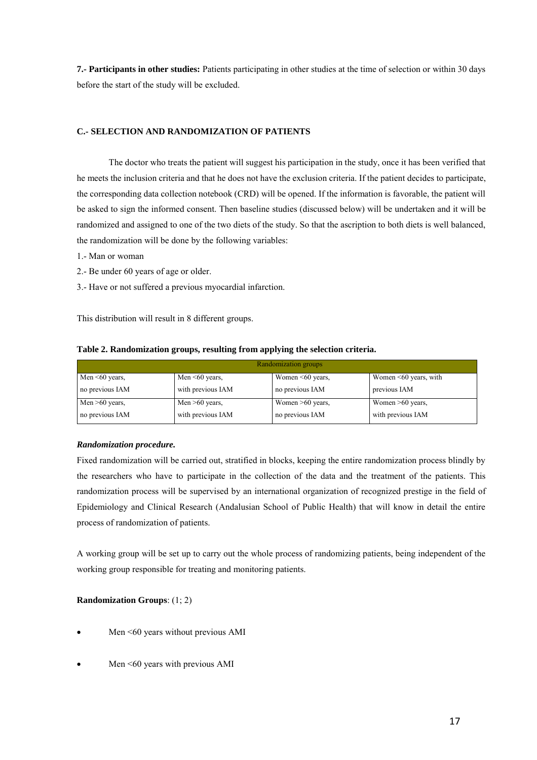**7.- Participants in other studies:** Patients participating in other studies at the time of selection or within 30 days before the start of the study will be excluded.

## **C.- SELECTION AND RANDOMIZATION OF PATIENTS**

 The doctor who treats the patient will suggest his participation in the study, once it has been verified that he meets the inclusion criteria and that he does not have the exclusion criteria. If the patient decides to participate, the corresponding data collection notebook (CRD) will be opened. If the information is favorable, the patient will be asked to sign the informed consent. Then baseline studies (discussed below) will be undertaken and it will be randomized and assigned to one of the two diets of the study. So that the ascription to both diets is well balanced, the randomization will be done by the following variables:

1.- Man or woman

- 2.- Be under 60 years of age or older.
- 3.- Have or not suffered a previous myocardial infarction.

This distribution will result in 8 different groups.

| Randomization groups |                      |                        |                             |  |  |  |  |
|----------------------|----------------------|------------------------|-----------------------------|--|--|--|--|
| Men $\leq 60$ years, | Men $\leq 60$ years, | Women $\leq 60$ years, | Women $\leq 60$ years, with |  |  |  |  |
| no previous IAM      | with previous IAM    | no previous IAM        | previous IAM                |  |  |  |  |
| Men $>60$ years,     | Men $>60$ years,     | Women $>60$ years,     | Women $>60$ years,          |  |  |  |  |
| no previous IAM      | with previous IAM    | no previous IAM        | with previous IAM           |  |  |  |  |

## **Table 2. Randomization groups, resulting from applying the selection criteria.**

## *Randomization procedure.*

Fixed randomization will be carried out, stratified in blocks, keeping the entire randomization process blindly by the researchers who have to participate in the collection of the data and the treatment of the patients. This randomization process will be supervised by an international organization of recognized prestige in the field of Epidemiology and Clinical Research (Andalusian School of Public Health) that will know in detail the entire process of randomization of patients.

A working group will be set up to carry out the whole process of randomizing patients, being independent of the working group responsible for treating and monitoring patients.

## **Randomization Groups**: (1; 2)

- Men <60 years without previous AMI
- Men <60 years with previous AMI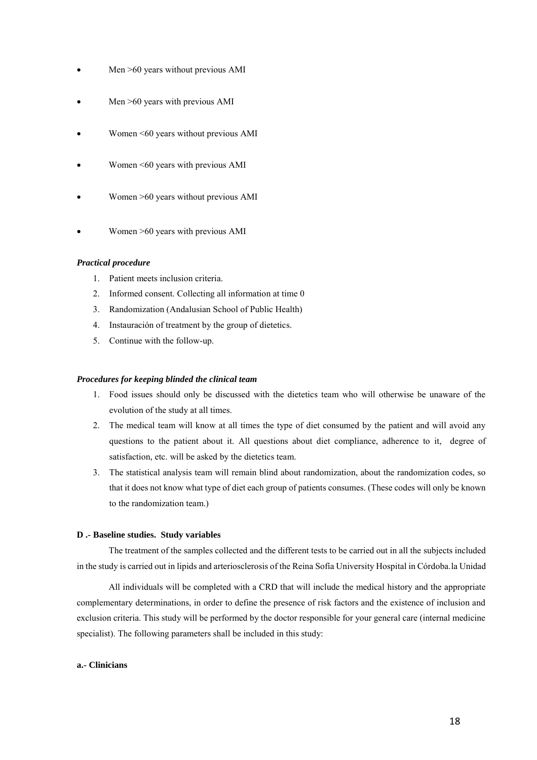- Men >60 years without previous AMI
- Men >60 years with previous AMI
- Women <60 years without previous AMI
- Women <60 years with previous AMI
- Women >60 years without previous AMI
- Women >60 years with previous AMI

## *Practical procedure*

- 1. Patient meets inclusion criteria.
- 2. Informed consent. Collecting all information at time 0
- 3. Randomization (Andalusian School of Public Health)
- 4. Instauración of treatment by the group of dietetics.
- 5. Continue with the follow-up.

## *Procedures for keeping blinded the clinical team*

- 1. Food issues should only be discussed with the dietetics team who will otherwise be unaware of the evolution of the study at all times.
- 2. The medical team will know at all times the type of diet consumed by the patient and will avoid any questions to the patient about it. All questions about diet compliance, adherence to it, degree of satisfaction, etc. will be asked by the dietetics team.
- 3. The statistical analysis team will remain blind about randomization, about the randomization codes, so that it does not know what type of diet each group of patients consumes. (These codes will only be known to the randomization team.)

## **D .- Baseline studies. Study variables**

 The treatment of the samples collected and the different tests to be carried out in all the subjects included in the study is carried out in lipids and arteriosclerosis of the Reina Sofía University Hospital in Córdoba.la Unidad

 All individuals will be completed with a CRD that will include the medical history and the appropriate complementary determinations, in order to define the presence of risk factors and the existence of inclusion and exclusion criteria. This study will be performed by the doctor responsible for your general care (internal medicine specialist). The following parameters shall be included in this study:

## **a.- Clinicians**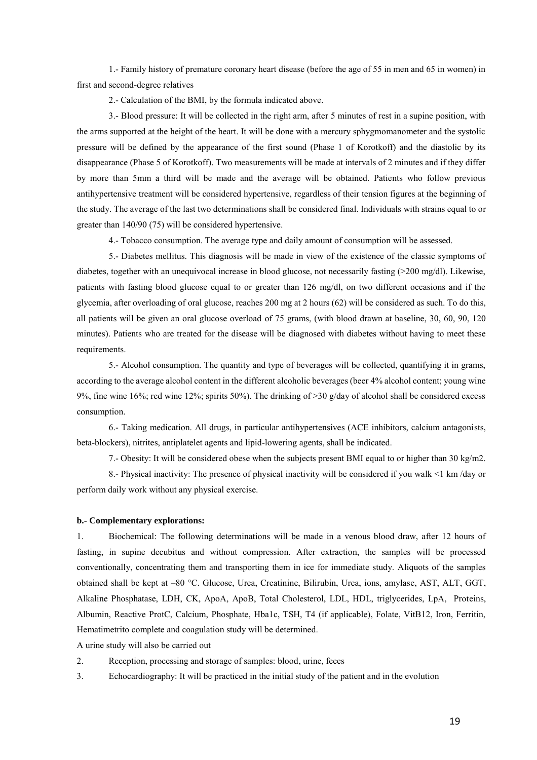1.- Family history of premature coronary heart disease (before the age of 55 in men and 65 in women) in first and second-degree relatives

2.- Calculation of the BMI, by the formula indicated above.

3.- Blood pressure: It will be collected in the right arm, after 5 minutes of rest in a supine position, with the arms supported at the height of the heart. It will be done with a mercury sphygmomanometer and the systolic pressure will be defined by the appearance of the first sound (Phase 1 of Korotkoff) and the diastolic by its disappearance (Phase 5 of Korotkoff). Two measurements will be made at intervals of 2 minutes and if they differ by more than 5mm a third will be made and the average will be obtained. Patients who follow previous antihypertensive treatment will be considered hypertensive, regardless of their tension figures at the beginning of the study. The average of the last two determinations shall be considered final. Individuals with strains equal to or greater than 140/90 (75) will be considered hypertensive.

4.- Tobacco consumption. The average type and daily amount of consumption will be assessed.

5.- Diabetes mellitus. This diagnosis will be made in view of the existence of the classic symptoms of diabetes, together with an unequivocal increase in blood glucose, not necessarily fasting (>200 mg/dl). Likewise, patients with fasting blood glucose equal to or greater than 126 mg/dl, on two different occasions and if the glycemia, after overloading of oral glucose, reaches 200 mg at 2 hours (62) will be considered as such. To do this, all patients will be given an oral glucose overload of 75 grams, (with blood drawn at baseline, 30, 60, 90, 120 minutes). Patients who are treated for the disease will be diagnosed with diabetes without having to meet these requirements.

5.- Alcohol consumption. The quantity and type of beverages will be collected, quantifying it in grams, according to the average alcohol content in the different alcoholic beverages (beer 4% alcohol content; young wine 9%, fine wine 16%; red wine 12%; spirits 50%). The drinking of >30 g/day of alcohol shall be considered excess consumption.

6.- Taking medication. All drugs, in particular antihypertensives (ACE inhibitors, calcium antagonists, beta-blockers), nitrites, antiplatelet agents and lipid-lowering agents, shall be indicated.

7.- Obesity: It will be considered obese when the subjects present BMI equal to or higher than 30 kg/m2.

8.- Physical inactivity: The presence of physical inactivity will be considered if you walk <1 km /day or perform daily work without any physical exercise.

#### **b.- Complementary explorations:**

1. Biochemical: The following determinations will be made in a venous blood draw, after 12 hours of fasting, in supine decubitus and without compression. After extraction, the samples will be processed conventionally, concentrating them and transporting them in ice for immediate study. Aliquots of the samples obtained shall be kept at –80 °C. Glucose, Urea, Creatinine, Bilirubin, Urea, ions, amylase, AST, ALT, GGT, Alkaline Phosphatase, LDH, CK, ApoA, ApoB, Total Cholesterol, LDL, HDL, triglycerides, LpA, Proteins, Albumin, Reactive ProtC, Calcium, Phosphate, Hba1c, TSH, T4 (if applicable), Folate, VitB12, Iron, Ferritin, Hematimetrito complete and coagulation study will be determined.

A urine study will also be carried out

2. Reception, processing and storage of samples: blood, urine, feces

3. Echocardiography: It will be practiced in the initial study of the patient and in the evolution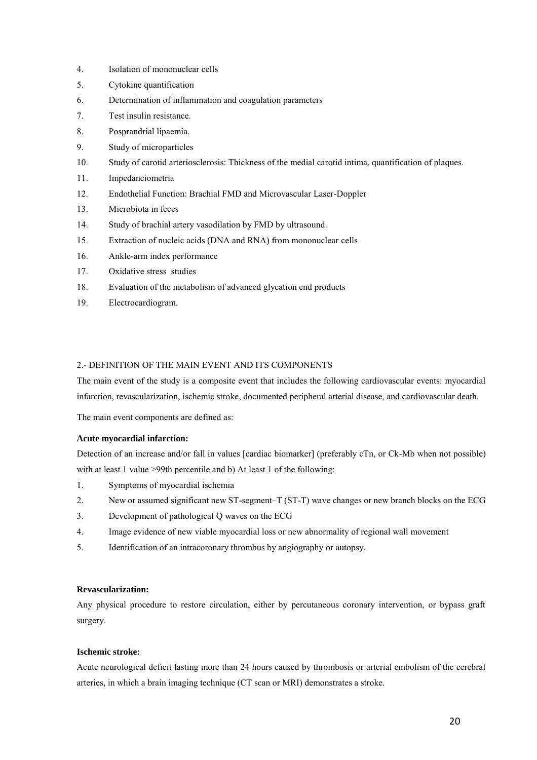- 4. Isolation of mononuclear cells
- 5. Cytokine quantification
- 6. Determination of inflammation and coagulation parameters
- 7. Test insulin resistance.
- 8. Posprandrial lipaemia.
- 9. Study of microparticles
- 10. Study of carotid arteriosclerosis: Thickness of the medial carotid intima, quantification of plaques.
- 11. Impedanciometría
- 12. Endothelial Function: Brachial FMD and Microvascular Laser-Doppler
- 13. Microbiota in feces
- 14. Study of brachial artery vasodilation by FMD by ultrasound.
- 15. Extraction of nucleic acids (DNA and RNA) from mononuclear cells
- 16. Ankle-arm index performance
- 17. Oxidative stress studies
- 18. Evaluation of the metabolism of advanced glycation end products
- 19. Electrocardiogram.

## <span id="page-19-0"></span>2.- DEFINITION OF THE MAIN EVENT AND ITS COMPONENTS

The main event of the study is a composite event that includes the following cardiovascular events: myocardial infarction, revascularization, ischemic stroke, documented peripheral arterial disease, and cardiovascular death.

The main event components are defined as:

## **Acute myocardial infarction:**

Detection of an increase and/or fall in values [cardiac biomarker] (preferably cTn, or Ck-Mb when not possible) with at least 1 value >99th percentile and b) At least 1 of the following:

- 1. Symptoms of myocardial ischemia
- 2. New or assumed significant new ST-segment–T (ST-T) wave changes or new branch blocks on the ECG
- 3. Development of pathological Q waves on the ECG
- 4. Image evidence of new viable myocardial loss or new abnormality of regional wall movement
- 5. Identification of an intracoronary thrombus by angiography or autopsy.

## **Revascularization:**

Any physical procedure to restore circulation, either by percutaneous coronary intervention, or bypass graft surgery.

### **Ischemic stroke:**

Acute neurological deficit lasting more than 24 hours caused by thrombosis or arterial embolism of the cerebral arteries, in which a brain imaging technique (CT scan or MRI) demonstrates a stroke.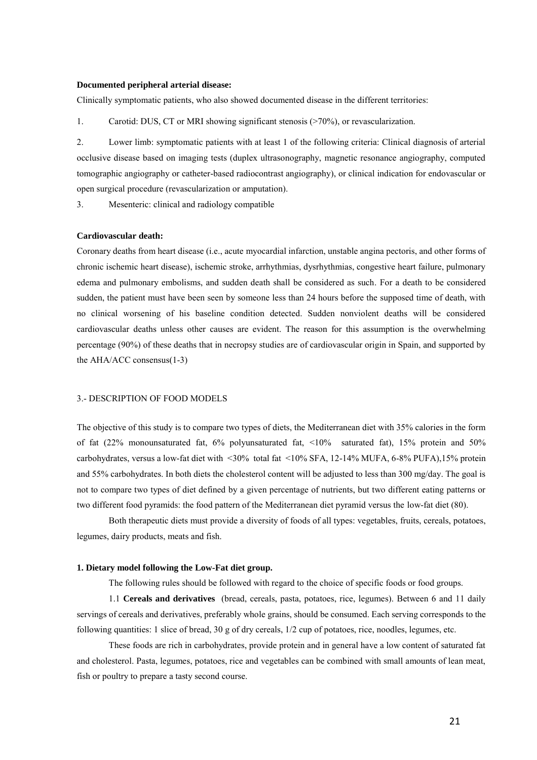#### **Documented peripheral arterial disease:**

Clinically symptomatic patients, who also showed documented disease in the different territories:

1. Carotid: DUS, CT or MRI showing significant stenosis (>70%), or revascularization.

2. Lower limb: symptomatic patients with at least 1 of the following criteria: Clinical diagnosis of arterial occlusive disease based on imaging tests (duplex ultrasonography, magnetic resonance angiography, computed tomographic angiography or catheter-based radiocontrast angiography), or clinical indication for endovascular or open surgical procedure (revascularization or amputation).

3. Mesenteric: clinical and radiology compatible

## **Cardiovascular death:**

Coronary deaths from heart disease (i.e., acute myocardial infarction, unstable angina pectoris, and other forms of chronic ischemic heart disease), ischemic stroke, arrhythmias, dysrhythmias, congestive heart failure, pulmonary edema and pulmonary embolisms, and sudden death shall be considered as such. For a death to be considered sudden, the patient must have been seen by someone less than 24 hours before the supposed time of death, with no clinical worsening of his baseline condition detected. Sudden nonviolent deaths will be considered cardiovascular deaths unless other causes are evident. The reason for this assumption is the overwhelming percentage (90%) of these deaths that in necropsy studies are of cardiovascular origin in Spain, and supported by the AHA/ACC consensus(1-3)

## <span id="page-20-0"></span>3.- DESCRIPTION OF FOOD MODELS

The objective of this study is to compare two types of diets, the Mediterranean diet with 35% calories in the form of fat (22% monounsaturated fat, 6% polyunsaturated fat, <10% saturated fat), 15% protein and 50% carbohydrates, versus a low-fat diet with <30% total fat <10% SFA, 12-14% MUFA, 6-8% PUFA),15% protein and 55% carbohydrates. In both diets the cholesterol content will be adjusted to less than 300 mg/day. The goal is not to compare two types of diet defined by a given percentage of nutrients, but two different eating patterns or two different food pyramids: the food pattern of the Mediterranean diet pyramid versus the low-fat diet (80).

 Both therapeutic diets must provide a diversity of foods of all types: vegetables, fruits, cereals, potatoes, legumes, dairy products, meats and fish.

### **1. Dietary model following the Low-Fat diet group.**

The following rules should be followed with regard to the choice of specific foods or food groups.

 1.1 **Cereals and derivatives** (bread, cereals, pasta, potatoes, rice, legumes). Between 6 and 11 daily servings of cereals and derivatives, preferably whole grains, should be consumed. Each serving corresponds to the following quantities: 1 slice of bread, 30 g of dry cereals, 1/2 cup of potatoes, rice, noodles, legumes, etc.

 These foods are rich in carbohydrates, provide protein and in general have a low content of saturated fat and cholesterol. Pasta, legumes, potatoes, rice and vegetables can be combined with small amounts of lean meat, fish or poultry to prepare a tasty second course.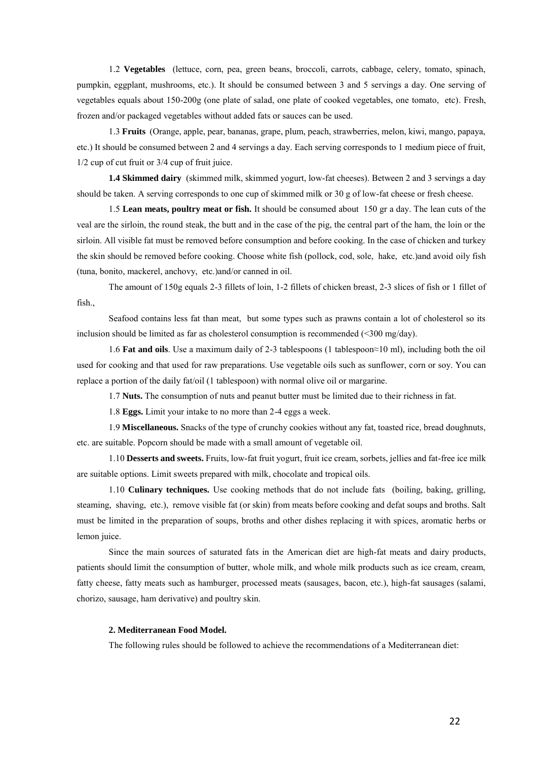1.2 **Vegetables** (lettuce, corn, pea, green beans, broccoli, carrots, cabbage, celery, tomato, spinach, pumpkin, eggplant, mushrooms, etc.). It should be consumed between 3 and 5 servings a day. One serving of vegetables equals about 150-200g (one plate of salad, one plate of cooked vegetables, one tomato, etc). Fresh, frozen and/or packaged vegetables without added fats or sauces can be used.

 1.3 **Fruits** (Orange, apple, pear, bananas, grape, plum, peach, strawberries, melon, kiwi, mango, papaya, etc.) It should be consumed between 2 and 4 servings a day. Each serving corresponds to 1 medium piece of fruit, 1/2 cup of cut fruit or 3/4 cup of fruit juice.

**1.4 Skimmed dairy** (skimmed milk, skimmed yogurt, low-fat cheeses). Between 2 and 3 servings a day should be taken. A serving corresponds to one cup of skimmed milk or 30 g of low-fat cheese or fresh cheese.

 1.5 **Lean meats, poultry meat or fish.** It should be consumed about 150 gr a day. The lean cuts of the veal are the sirloin, the round steak, the butt and in the case of the pig, the central part of the ham, the loin or the sirloin. All visible fat must be removed before consumption and before cooking. In the case of chicken and turkey the skin should be removed before cooking. Choose white fish (pollock, cod, sole, hake, etc.)and avoid oily fish (tuna, bonito, mackerel, anchovy, etc.)and/or canned in oil.

 The amount of 150g equals 2-3 fillets of loin, 1-2 fillets of chicken breast, 2-3 slices of fish or 1 fillet of fish.,

 Seafood contains less fat than meat, but some types such as prawns contain a lot of cholesterol so its inclusion should be limited as far as cholesterol consumption is recommended (<300 mg/day).

 1.6 **Fat and oils**. Use a maximum daily of 2-3 tablespoons (1 tablespoon≈10 ml), including both the oil used for cooking and that used for raw preparations. Use vegetable oils such as sunflower, corn or soy. You can replace a portion of the daily fat/oil (1 tablespoon) with normal olive oil or margarine.

1.7 **Nuts.** The consumption of nuts and peanut butter must be limited due to their richness in fat.

1.8 **Eggs.** Limit your intake to no more than 2-4 eggs a week.

 1.9 **Miscellaneous.** Snacks of the type of crunchy cookies without any fat, toasted rice, bread doughnuts, etc. are suitable. Popcorn should be made with a small amount of vegetable oil.

 1.10 **Desserts and sweets.** Fruits, low-fat fruit yogurt, fruit ice cream, sorbets, jellies and fat-free ice milk are suitable options. Limit sweets prepared with milk, chocolate and tropical oils.

 1.10 **Culinary techniques.** Use cooking methods that do not include fats (boiling, baking, grilling, steaming, shaving, etc.), remove visible fat (or skin) from meats before cooking and defat soups and broths. Salt must be limited in the preparation of soups, broths and other dishes replacing it with spices, aromatic herbs or lemon juice.

 Since the main sources of saturated fats in the American diet are high-fat meats and dairy products, patients should limit the consumption of butter, whole milk, and whole milk products such as ice cream, cream, fatty cheese, fatty meats such as hamburger, processed meats (sausages, bacon, etc.), high-fat sausages (salami, chorizo, sausage, ham derivative) and poultry skin.

## **2. Mediterranean Food Model.**

The following rules should be followed to achieve the recommendations of a Mediterranean diet: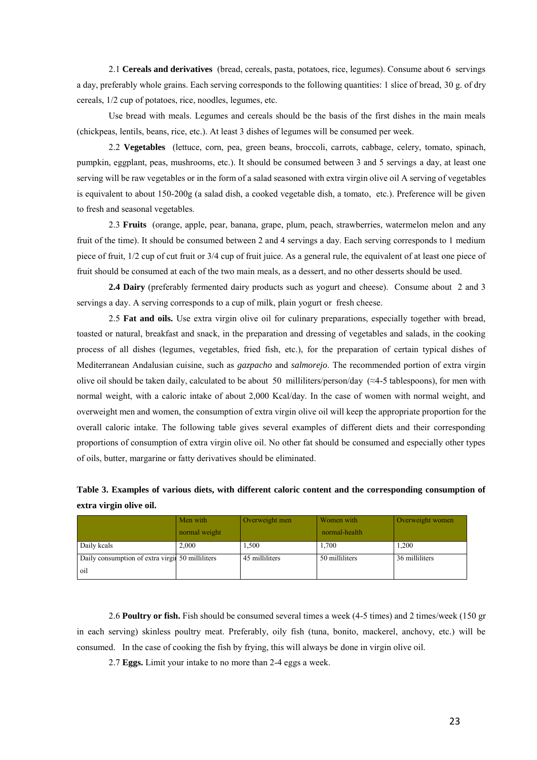2.1 **Cereals and derivatives** (bread, cereals, pasta, potatoes, rice, legumes). Consume about 6 servings a day, preferably whole grains. Each serving corresponds to the following quantities: 1 slice of bread, 30 g. of dry cereals, 1/2 cup of potatoes, rice, noodles, legumes, etc.

 Use bread with meals. Legumes and cereals should be the basis of the first dishes in the main meals (chickpeas, lentils, beans, rice, etc.). At least 3 dishes of legumes will be consumed per week.

 2.2 **Vegetables** (lettuce, corn, pea, green beans, broccoli, carrots, cabbage, celery, tomato, spinach, pumpkin, eggplant, peas, mushrooms, etc.). It should be consumed between 3 and 5 servings a day, at least one serving will be raw vegetables or in the form of a salad seasoned with extra virgin olive oil A serving of vegetables is equivalent to about 150-200g (a salad dish, a cooked vegetable dish, a tomato, etc.). Preference will be given to fresh and seasonal vegetables.

 2.3 **Fruits** (orange, apple, pear, banana, grape, plum, peach, strawberries, watermelon melon and any fruit of the time). It should be consumed between 2 and 4 servings a day. Each serving corresponds to 1 medium piece of fruit, 1/2 cup of cut fruit or 3/4 cup of fruit juice. As a general rule, the equivalent of at least one piece of fruit should be consumed at each of the two main meals, as a dessert, and no other desserts should be used.

**2.4 Dairy** (preferably fermented dairy products such as yogurt and cheese). Consume about 2 and 3 servings a day. A serving corresponds to a cup of milk, plain yogurt or fresh cheese.

 2.5 **Fat and oils.** Use extra virgin olive oil for culinary preparations, especially together with bread, toasted or natural, breakfast and snack, in the preparation and dressing of vegetables and salads, in the cooking process of all dishes (legumes, vegetables, fried fish, etc.), for the preparation of certain typical dishes of Mediterranean Andalusian cuisine, such as *gazpacho* and *salmorejo*. The recommended portion of extra virgin olive oil should be taken daily, calculated to be about 50 milliliters/person/day ( $\approx$ 4-5 tablespoons), for men with normal weight, with a caloric intake of about 2,000 Kcal/day. In the case of women with normal weight, and overweight men and women, the consumption of extra virgin olive oil will keep the appropriate proportion for the overall caloric intake. The following table gives several examples of different diets and their corresponding proportions of consumption of extra virgin olive oil. No other fat should be consumed and especially other types of oils, butter, margarine or fatty derivatives should be eliminated.

| Table 3. Examples of various diets, with different caloric content and the corresponding consumption of |  |  |  |
|---------------------------------------------------------------------------------------------------------|--|--|--|
| extra virgin olive oil.                                                                                 |  |  |  |

|                                                         | Men with      | Overweight men | Women with     | Overweight women |
|---------------------------------------------------------|---------------|----------------|----------------|------------------|
|                                                         | normal weight |                | normal-health  |                  |
| Daily keals                                             | 2,000         | 1,500          | 1,700          | 1,200            |
| Daily consumption of extra virgin 50 milliliters<br>oil |               | 45 milliliters | 50 milliliters | 36 milliliters   |
|                                                         |               |                |                |                  |

 2.6 **Poultry or fish.** Fish should be consumed several times a week (4-5 times) and 2 times/week (150 gr in each serving) skinless poultry meat. Preferably, oily fish (tuna, bonito, mackerel, anchovy, etc.) will be consumed. In the case of cooking the fish by frying, this will always be done in virgin olive oil.

2.7 **Eggs.** Limit your intake to no more than 2-4 eggs a week.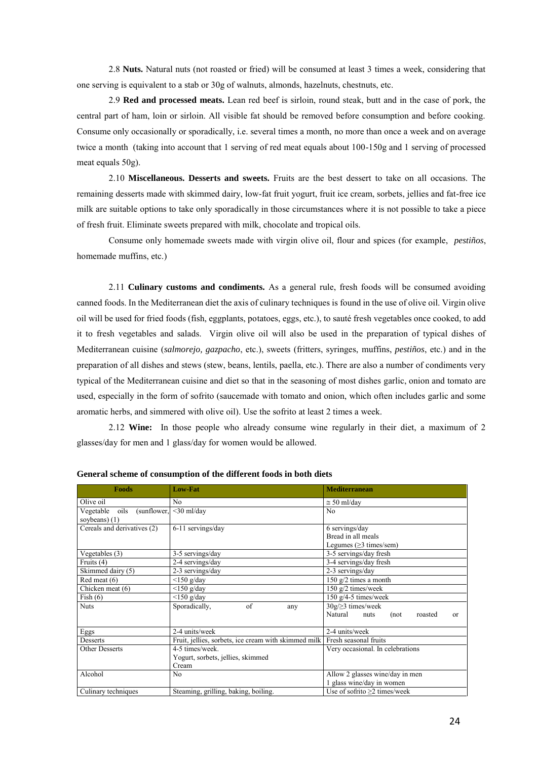2.8 **Nuts.** Natural nuts (not roasted or fried) will be consumed at least 3 times a week, considering that one serving is equivalent to a stab or 30g of walnuts, almonds, hazelnuts, chestnuts, etc.

 2.9 **Red and processed meats.** Lean red beef is sirloin, round steak, butt and in the case of pork, the central part of ham, loin or sirloin. All visible fat should be removed before consumption and before cooking. Consume only occasionally or sporadically, i.e. several times a month, no more than once a week and on average twice a month (taking into account that 1 serving of red meat equals about 100-150g and 1 serving of processed meat equals 50g).

 2.10 **Miscellaneous. Desserts and sweets.** Fruits are the best dessert to take on all occasions. The remaining desserts made with skimmed dairy, low-fat fruit yogurt, fruit ice cream, sorbets, jellies and fat-free ice milk are suitable options to take only sporadically in those circumstances where it is not possible to take a piece of fresh fruit. Eliminate sweets prepared with milk, chocolate and tropical oils.

 Consume only homemade sweets made with virgin olive oil, flour and spices (for example, *pestiños*, homemade muffins, etc.)

 2.11 **Culinary customs and condiments.** As a general rule, fresh foods will be consumed avoiding canned foods. In the Mediterranean diet the axis of culinary techniques is found in the use of olive oil. Virgin olive oil will be used for fried foods (fish, eggplants, potatoes, eggs, etc.), to sauté fresh vegetables once cooked, to add it to fresh vegetables and salads. Virgin olive oil will also be used in the preparation of typical dishes of Mediterranean cuisine (*salmorejo, gazpacho*, etc.), sweets (fritters, syringes, muffins, *pestiños*, etc.) and in the preparation of all dishes and stews (stew, beans, lentils, paella, etc.). There are also a number of condiments very typical of the Mediterranean cuisine and diet so that in the seasoning of most dishes garlic, onion and tomato are used, especially in the form of sofrito (saucemade with tomato and onion, which often includes garlic and some aromatic herbs, and simmered with olive oil). Use the sofrito at least 2 times a week.

 2.12 **Wine:** In those people who already consume wine regularly in their diet, a maximum of 2 glasses/day for men and 1 glass/day for women would be allowed.

| <b>Foods</b>                  | <b>Low-Fat</b>                                       | <b>Mediterranean</b>                     |  |  |  |  |  |
|-------------------------------|------------------------------------------------------|------------------------------------------|--|--|--|--|--|
| Olive oil                     | No                                                   | $\approx$ 50 ml/day                      |  |  |  |  |  |
| Vegetable oils<br>(sunflower, | $<$ 30 ml/day                                        | N <sub>0</sub>                           |  |  |  |  |  |
| soybeans) (1)                 |                                                      |                                          |  |  |  |  |  |
| Cereals and derivatives (2)   | 6-11 servings/day                                    | $6$ servings/day                         |  |  |  |  |  |
|                               |                                                      | Bread in all meals                       |  |  |  |  |  |
|                               |                                                      | Legumes ( $\geq$ 3 times/sem)            |  |  |  |  |  |
| Vegetables (3)                | 3-5 servings/day                                     | 3-5 servings/day fresh                   |  |  |  |  |  |
| Fruits (4)                    | 2-4 servings/day                                     | 3-4 servings/day fresh                   |  |  |  |  |  |
| Skimmed dairy (5)             | 2-3 servings/day                                     | 2-3 servings/day                         |  |  |  |  |  |
| $Red$ meat $(6)$              | $<$ 150 g/day                                        | $150$ g/2 times a month                  |  |  |  |  |  |
| Chicken meat (6)              | $<$ 150 g/day                                        | $150$ g/2 times/week                     |  |  |  |  |  |
| Fish(6)                       | $<$ 150 g/day                                        | $150$ g/4-5 times/week                   |  |  |  |  |  |
| <b>Nuts</b>                   | of<br>Sporadically,<br>any                           | $30g/\geq 3$ times/week                  |  |  |  |  |  |
|                               |                                                      | Natural<br>(not<br>nuts<br>roasted<br>or |  |  |  |  |  |
| Eggs                          | 2-4 units/week                                       | 2-4 units/week                           |  |  |  |  |  |
| Desserts                      | Fruit, jellies, sorbets, ice cream with skimmed milk | Fresh seasonal fruits                    |  |  |  |  |  |
| <b>Other Desserts</b>         | 4-5 times/week.                                      | Very occasional. In celebrations         |  |  |  |  |  |
|                               | Yogurt, sorbets, jellies, skimmed                    |                                          |  |  |  |  |  |
|                               | Cream                                                |                                          |  |  |  |  |  |
| Alcohol                       | N <sub>o</sub>                                       | Allow 2 glasses wine/day in men          |  |  |  |  |  |
|                               |                                                      | 1 glass wine/day in women                |  |  |  |  |  |
| Culinary techniques           | Steaming, grilling, baking, boiling.                 | Use of sofrito $\geq$ 2 times/week       |  |  |  |  |  |

**General scheme of consumption of the different foods in both diets**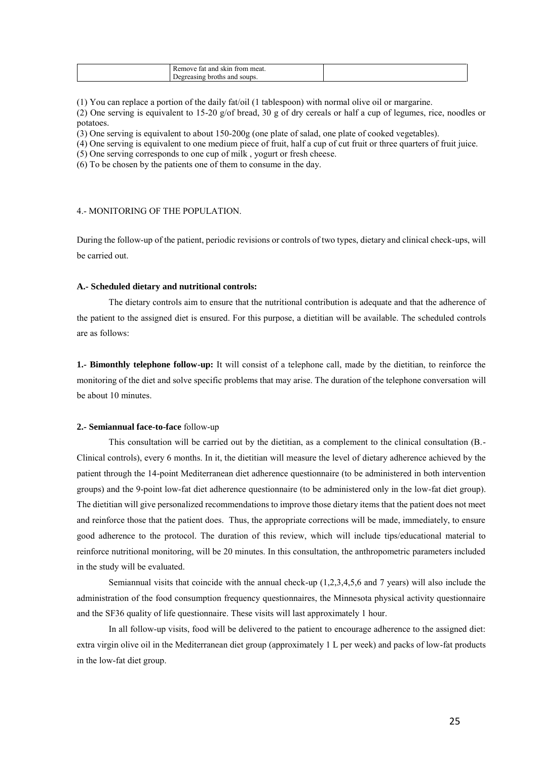| meat<br>trom<br>anc<br>.sk1n<br>move<br>. tat<br>ഛ |  |
|----------------------------------------------------|--|
| ' soups.<br>and<br>hroths.<br>т.<br>nuas.          |  |

(1) You can replace a portion of the daily fat/oil (1 tablespoon) with normal olive oil or margarine.

(2) One serving is equivalent to 15-20 g/of bread, 30 g of dry cereals or half a cup of legumes, rice, noodles or potatoes.

(3) One serving is equivalent to about 150-200g (one plate of salad, one plate of cooked vegetables).

(4) One serving is equivalent to one medium piece of fruit, half a cup of cut fruit or three quarters of fruit juice.

(5) One serving corresponds to one cup of milk , yogurt or fresh cheese.

(6) To be chosen by the patients one of them to consume in the day.

#### <span id="page-24-0"></span>4.- MONITORING OF THE POPULATION.

During the follow-up of the patient, periodic revisions or controls of two types, dietary and clinical check-ups, will be carried out.

#### **A.- Scheduled dietary and nutritional controls:**

 The dietary controls aim to ensure that the nutritional contribution is adequate and that the adherence of the patient to the assigned diet is ensured. For this purpose, a dietitian will be available. The scheduled controls are as follows:

**1.- Bimonthly telephone follow-up:** It will consist of a telephone call, made by the dietitian, to reinforce the monitoring of the diet and solve specific problems that may arise. The duration of the telephone conversation will be about 10 minutes.

#### **2.- Semiannual face-to-face** follow-up

 This consultation will be carried out by the dietitian, as a complement to the clinical consultation (B.- Clinical controls), every 6 months. In it, the dietitian will measure the level of dietary adherence achieved by the patient through the 14-point Mediterranean diet adherence questionnaire (to be administered in both intervention groups) and the 9-point low-fat diet adherence questionnaire (to be administered only in the low-fat diet group). The dietitian will give personalized recommendations to improve those dietary items that the patient does not meet and reinforce those that the patient does. Thus, the appropriate corrections will be made, immediately, to ensure good adherence to the protocol. The duration of this review, which will include tips/educational material to reinforce nutritional monitoring, will be 20 minutes. In this consultation, the anthropometric parameters included in the study will be evaluated.

 Semiannual visits that coincide with the annual check-up (1,2,3,4,5,6 and 7 years) will also include the administration of the food consumption frequency questionnaires, the Minnesota physical activity questionnaire and the SF36 quality of life questionnaire. These visits will last approximately 1 hour.

 In all follow-up visits, food will be delivered to the patient to encourage adherence to the assigned diet: extra virgin olive oil in the Mediterranean diet group (approximately 1 L per week) and packs of low-fat products in the low-fat diet group.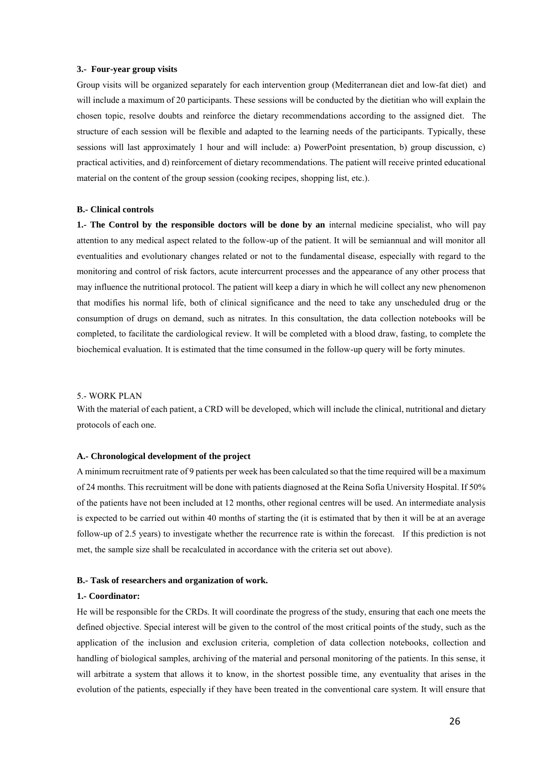#### **3.- Four-year group visits**

Group visits will be organized separately for each intervention group (Mediterranean diet and low-fat diet) and will include a maximum of 20 participants. These sessions will be conducted by the dietitian who will explain the chosen topic, resolve doubts and reinforce the dietary recommendations according to the assigned diet. The structure of each session will be flexible and adapted to the learning needs of the participants. Typically, these sessions will last approximately 1 hour and will include: a) PowerPoint presentation, b) group discussion, c) practical activities, and d) reinforcement of dietary recommendations. The patient will receive printed educational material on the content of the group session (cooking recipes, shopping list, etc.).

### **B.- Clinical controls**

**1.- The Control by the responsible doctors will be done by an** internal medicine specialist, who will pay attention to any medical aspect related to the follow-up of the patient. It will be semiannual and will monitor all eventualities and evolutionary changes related or not to the fundamental disease, especially with regard to the monitoring and control of risk factors, acute intercurrent processes and the appearance of any other process that may influence the nutritional protocol. The patient will keep a diary in which he will collect any new phenomenon that modifies his normal life, both of clinical significance and the need to take any unscheduled drug or the consumption of drugs on demand, such as nitrates. In this consultation, the data collection notebooks will be completed, to facilitate the cardiological review. It will be completed with a blood draw, fasting, to complete the biochemical evaluation. It is estimated that the time consumed in the follow-up query will be forty minutes.

## <span id="page-25-0"></span>5.- WORK PLAN

With the material of each patient, a CRD will be developed, which will include the clinical, nutritional and dietary protocols of each one.

#### **A.- Chronological development of the project**

A minimum recruitment rate of 9 patients per week has been calculated so that the time required will be a maximum of 24 months. This recruitment will be done with patients diagnosed at the Reina Sofía University Hospital. If 50% of the patients have not been included at 12 months, other regional centres will be used. An intermediate analysis is expected to be carried out within 40 months of starting the (it is estimated that by then it will be at an average follow-up of 2.5 years) to investigate whether the recurrence rate is within the forecast. If this prediction is not met, the sample size shall be recalculated in accordance with the criteria set out above).

### **B.- Task of researchers and organization of work.**

#### **1.- Coordinator:**

He will be responsible for the CRDs. It will coordinate the progress of the study, ensuring that each one meets the defined objective. Special interest will be given to the control of the most critical points of the study, such as the application of the inclusion and exclusion criteria, completion of data collection notebooks, collection and handling of biological samples, archiving of the material and personal monitoring of the patients. In this sense, it will arbitrate a system that allows it to know, in the shortest possible time, any eventuality that arises in the evolution of the patients, especially if they have been treated in the conventional care system. It will ensure that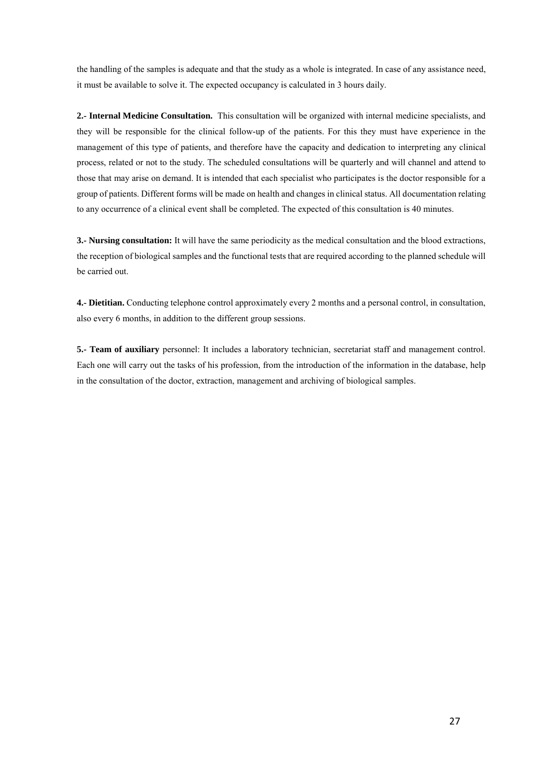the handling of the samples is adequate and that the study as a whole is integrated. In case of any assistance need, it must be available to solve it. The expected occupancy is calculated in 3 hours daily.

**2.- Internal Medicine Consultation.** This consultation will be organized with internal medicine specialists, and they will be responsible for the clinical follow-up of the patients. For this they must have experience in the management of this type of patients, and therefore have the capacity and dedication to interpreting any clinical process, related or not to the study. The scheduled consultations will be quarterly and will channel and attend to those that may arise on demand. It is intended that each specialist who participates is the doctor responsible for a group of patients. Different forms will be made on health and changes in clinical status. All documentation relating to any occurrence of a clinical event shall be completed. The expected of this consultation is 40 minutes.

**3.- Nursing consultation:** It will have the same periodicity as the medical consultation and the blood extractions, the reception of biological samples and the functional tests that are required according to the planned schedule will be carried out.

**4.- Dietitian.** Conducting telephone control approximately every 2 months and a personal control, in consultation, also every 6 months, in addition to the different group sessions.

**5.- Team of auxiliary** personnel: It includes a laboratory technician, secretariat staff and management control. Each one will carry out the tasks of his profession, from the introduction of the information in the database, help in the consultation of the doctor, extraction, management and archiving of biological samples.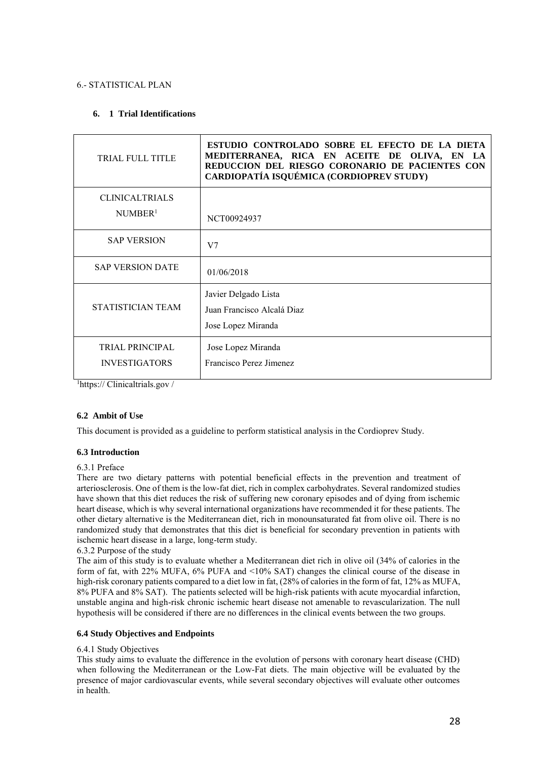## <span id="page-27-0"></span>6.- STATISTICAL PLAN

## **6. 1 Trial Identifications**

| <b>TRIAL FULL TITLE</b>                        | ESTUDIO CONTROLADO SOBRE EL EFECTO DE LA DIETA<br>MEDITERRANEA, RICA EN ACEITE DE OLIVA, EN LA<br>REDUCCION DEL RIESGO CORONARIO DE PACIENTES CON<br>CARDIOPATÍA ISQUÉMICA (CORDIOPREV STUDY) |
|------------------------------------------------|-----------------------------------------------------------------------------------------------------------------------------------------------------------------------------------------------|
| <b>CLINICALTRIALS</b><br>NUMBER <sup>1</sup>   | NCT00924937                                                                                                                                                                                   |
| <b>SAP VERSION</b>                             | V7                                                                                                                                                                                            |
| <b>SAP VERSION DATE</b>                        | 01/06/2018                                                                                                                                                                                    |
| STATISTICIAN TEAM                              | Javier Delgado Lista<br>Juan Francisco Alcalá Diaz<br>Jose Lopez Miranda                                                                                                                      |
| <b>TRIAL PRINCIPAL</b><br><b>INVESTIGATORS</b> | Jose Lopez Miranda<br>Francisco Perez Jimenez                                                                                                                                                 |

<sup>1</sup>https:// Clinicaltrials.gov /

## **6.2 Ambit of Use**

This document is provided as a guideline to perform statistical analysis in the Cordioprev Study.

## **6.3 Introduction**

## 6.3.1 Preface

There are two dietary patterns with potential beneficial effects in the prevention and treatment of arteriosclerosis. One of them is the low-fat diet, rich in complex carbohydrates. Several randomized studies have shown that this diet reduces the risk of suffering new coronary episodes and of dying from ischemic heart disease, which is why several international organizations have recommended it for these patients. The other dietary alternative is the Mediterranean diet, rich in monounsaturated fat from olive oil. There is no randomized study that demonstrates that this diet is beneficial for secondary prevention in patients with ischemic heart disease in a large, long-term study.

## 6.3.2 Purpose of the study

The aim of this study is to evaluate whether a Mediterranean diet rich in olive oil (34% of calories in the form of fat, with 22% MUFA, 6% PUFA and <10% SAT) changes the clinical course of the disease in high-risk coronary patients compared to a diet low in fat,  $(28%$  of calories in the form of fat, 12% as MUFA, 8% PUFA and 8% SAT). The patients selected will be high-risk patients with acute myocardial infarction, unstable angina and high-risk chronic ischemic heart disease not amenable to revascularization. The null hypothesis will be considered if there are no differences in the clinical events between the two groups.

## **6.4 Study Objectives and Endpoints**

## 6.4.1 Study Objectives

This study aims to evaluate the difference in the evolution of persons with coronary heart disease (CHD) when following the Mediterranean or the Low-Fat diets. The main objective will be evaluated by the presence of major cardiovascular events, while several secondary objectives will evaluate other outcomes in health.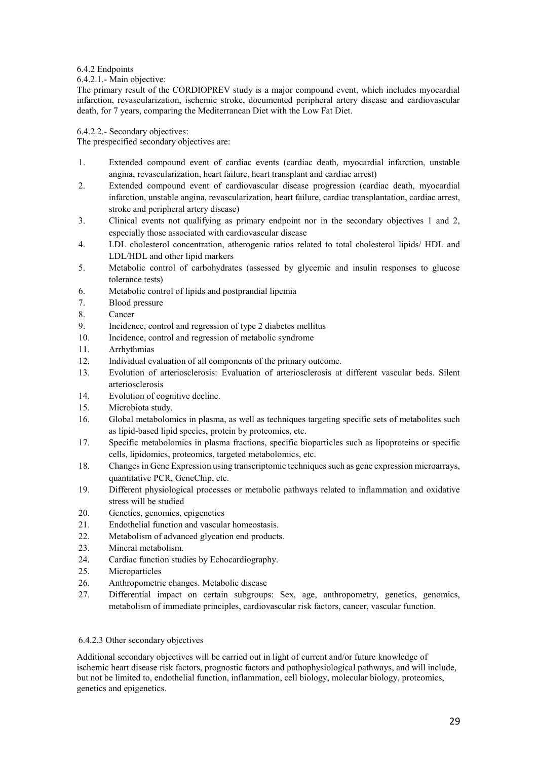## 6.4.2 Endpoints

## 6.4.2.1.- Main objective:

The primary result of the CORDIOPREV study is a major compound event, which includes myocardial infarction, revascularization, ischemic stroke, documented peripheral artery disease and cardiovascular death, for 7 years, comparing the Mediterranean Diet with the Low Fat Diet.

6.4.2.2.- Secondary objectives:

The prespecified secondary objectives are:

- 1. Extended compound event of cardiac events (cardiac death, myocardial infarction, unstable angina, revascularization, heart failure, heart transplant and cardiac arrest)
- 2. Extended compound event of cardiovascular disease progression (cardiac death, myocardial infarction, unstable angina, revascularization, heart failure, cardiac transplantation, cardiac arrest, stroke and peripheral artery disease)
- 3. Clinical events not qualifying as primary endpoint nor in the secondary objectives 1 and 2, especially those associated with cardiovascular disease
- 4. LDL cholesterol concentration, atherogenic ratios related to total cholesterol lipids/ HDL and LDL/HDL and other lipid markers
- 5. Metabolic control of carbohydrates (assessed by glycemic and insulin responses to glucose tolerance tests)
- 6. Metabolic control of lipids and postprandial lipemia
- 7. Blood pressure
- 8. Cancer
- 9. Incidence, control and regression of type 2 diabetes mellitus
- 10. Incidence, control and regression of metabolic syndrome
- 11. Arrhythmias
- 12. Individual evaluation of all components of the primary outcome.
- 13. Evolution of arteriosclerosis: Evaluation of arteriosclerosis at different vascular beds. Silent arteriosclerosis
- 14. Evolution of cognitive decline.
- 15. Microbiota study.
- 16. Global metabolomics in plasma, as well as techniques targeting specific sets of metabolites such as lipid-based lipid species, protein by proteomics, etc.
- 17. Specific metabolomics in plasma fractions, specific bioparticles such as lipoproteins or specific cells, lipidomics, proteomics, targeted metabolomics, etc.
- 18. Changes in Gene Expression using transcriptomic techniques such as gene expression microarrays, quantitative PCR, GeneChip, etc.
- 19. Different physiological processes or metabolic pathways related to inflammation and oxidative stress will be studied
- 20. Genetics, genomics, epigenetics
- 21. Endothelial function and vascular homeostasis.
- 22. Metabolism of advanced glycation end products.
- 23. Mineral metabolism.
- 24. Cardiac function studies by Echocardiography.
- 25. Microparticles
- 26. Anthropometric changes. Metabolic disease
- 27. Differential impact on certain subgroups: Sex, age, anthropometry, genetics, genomics, metabolism of immediate principles, cardiovascular risk factors, cancer, vascular function.

## 6.4.2.3 Other secondary objectives

Additional secondary objectives will be carried out in light of current and/or future knowledge of ischemic heart disease risk factors, prognostic factors and pathophysiological pathways, and will include, but not be limited to, endothelial function, inflammation, cell biology, molecular biology, proteomics, genetics and epigenetics.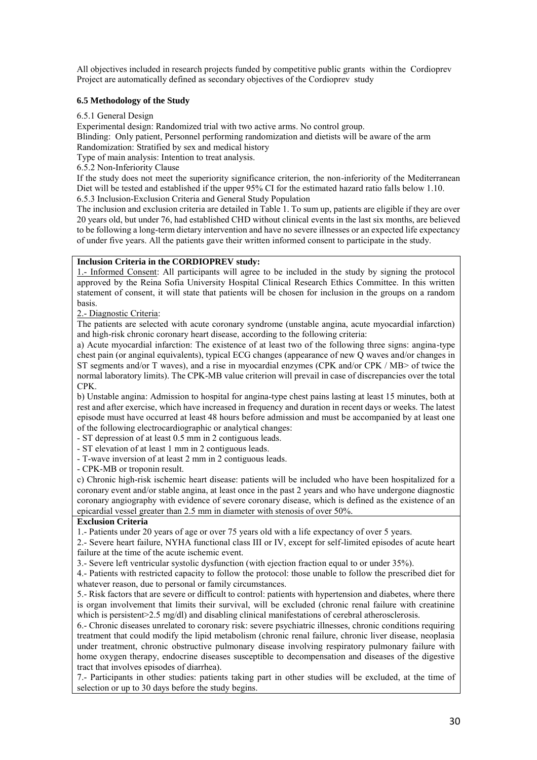All objectives included in research projects funded by competitive public grants within the Cordioprev Project are automatically defined as secondary objectives of the Cordioprev study

## **6.5 Methodology of the Study**

6.5.1 General Design

Experimental design: Randomized trial with two active arms. No control group.

Blinding: Only patient, Personnel performing randomization and dietists will be aware of the arm

Randomization: Stratified by sex and medical history

Type of main analysis: Intention to treat analysis.

6.5.2 Non-Inferiority Clause

If the study does not meet the superiority significance criterion, the non-inferiority of the Mediterranean Diet will be tested and established if the upper 95% CI for the estimated hazard ratio falls below 1.10. 6.5.3 Inclusion-Exclusion Criteria and General Study Population

The inclusion and exclusion criteria are detailed in Table 1. To sum up, patients are eligible if they are over 20 years old, but under 76, had established CHD without clinical events in the last six months, are believed to be following a long-term dietary intervention and have no severe illnesses or an expected life expectancy of under five years. All the patients gave their written informed consent to participate in the study.

## **Inclusion Criteria in the CORDIOPREV study:**

1.- Informed Consent: All participants will agree to be included in the study by signing the protocol approved by the Reina Sofia University Hospital Clinical Research Ethics Committee. In this written statement of consent, it will state that patients will be chosen for inclusion in the groups on a random basis.

2.- Diagnostic Criteria:

The patients are selected with acute coronary syndrome (unstable angina, acute myocardial infarction) and high-risk chronic coronary heart disease, according to the following criteria:

a) Acute myocardial infarction: The existence of at least two of the following three signs: angina-type chest pain (or anginal equivalents), typical ECG changes (appearance of new Q waves and/or changes in ST segments and/or T waves), and a rise in myocardial enzymes (CPK and/or CPK / MB> of twice the normal laboratory limits). The CPK-MB value criterion will prevail in case of discrepancies over the total CPK.

b) Unstable angina: Admission to hospital for angina-type chest pains lasting at least 15 minutes, both at rest and after exercise, which have increased in frequency and duration in recent days or weeks. The latest episode must have occurred at least 48 hours before admission and must be accompanied by at least one of the following electrocardiographic or analytical changes:

- ST depression of at least 0.5 mm in 2 contiguous leads.

- ST elevation of at least 1 mm in 2 contiguous leads.

- T-wave inversion of at least 2 mm in 2 contiguous leads.

- CPK-MB or troponin result.

c) Chronic high-risk ischemic heart disease: patients will be included who have been hospitalized for a coronary event and/or stable angina, at least once in the past 2 years and who have undergone diagnostic coronary angiography with evidence of severe coronary disease, which is defined as the existence of an epicardial vessel greater than 2.5 mm in diameter with stenosis of over 50%.

## **Exclusion Criteria**

1.- Patients under 20 years of age or over 75 years old with a life expectancy of over 5 years.

2.- Severe heart failure, NYHA functional class III or IV, except for self-limited episodes of acute heart failure at the time of the acute ischemic event.

3.- Severe left ventricular systolic dysfunction (with ejection fraction equal to or under 35%).

4.- Patients with restricted capacity to follow the protocol: those unable to follow the prescribed diet for whatever reason, due to personal or family circumstances.

5.- Risk factors that are severe or difficult to control: patients with hypertension and diabetes, where there is organ involvement that limits their survival, will be excluded (chronic renal failure with creatinine which is persistent>2.5 mg/dl) and disabling clinical manifestations of cerebral atherosclerosis.

6.- Chronic diseases unrelated to coronary risk: severe psychiatric illnesses, chronic conditions requiring treatment that could modify the lipid metabolism (chronic renal failure, chronic liver disease, neoplasia under treatment, chronic obstructive pulmonary disease involving respiratory pulmonary failure with home oxygen therapy, endocrine diseases susceptible to decompensation and diseases of the digestive tract that involves episodes of diarrhea).

7.- Participants in other studies: patients taking part in other studies will be excluded, at the time of selection or up to 30 days before the study begins.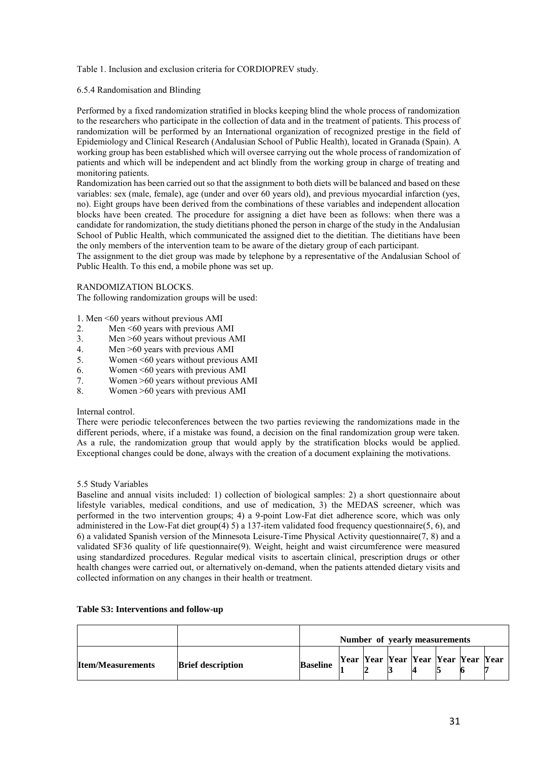## Table 1. Inclusion and exclusion criteria for CORDIOPREV study.

## 6.5.4 Randomisation and Blinding

Performed by a fixed randomization stratified in blocks keeping blind the whole process of randomization to the researchers who participate in the collection of data and in the treatment of patients. This process of randomization will be performed by an International organization of recognized prestige in the field of Epidemiology and Clinical Research (Andalusian School of Public Health), located in Granada (Spain). A working group has been established which will oversee carrying out the whole process of randomization of patients and which will be independent and act blindly from the working group in charge of treating and monitoring patients.

Randomization has been carried out so that the assignment to both diets will be balanced and based on these variables: sex (male, female), age (under and over 60 years old), and previous myocardial infarction (yes, no). Eight groups have been derived from the combinations of these variables and independent allocation blocks have been created. The procedure for assigning a diet have been as follows: when there was a candidate for randomization, the study dietitians phoned the person in charge of the study in the Andalusian School of Public Health, which communicated the assigned diet to the dietitian. The dietitians have been the only members of the intervention team to be aware of the dietary group of each participant.

The assignment to the diet group was made by telephone by a representative of the Andalusian School of Public Health. To this end, a mobile phone was set up.

## RANDOMIZATION BLOCKS.

The following randomization groups will be used:

1. Men <60 years without previous AMI

- 2. Men <60 years with previous AMI
- 3. Men >60 years without previous AMI<br>4. Men >60 years with previous AMI
- 4. Men >60 years with previous AMI<br>5. Women <60 years without previous
- 5. Women <60 years without previous AMI
- 6. Women <60 years with previous AMI<br>7. Women >60 years without previous A
- 7. Women >60 years without previous AMI<br>8 Women >60 years with previous AMI
- 8. Women >60 years with previous AMI

#### Internal control.

There were periodic teleconferences between the two parties reviewing the randomizations made in the different periods, where, if a mistake was found, a decision on the final randomization group were taken. As a rule, the randomization group that would apply by the stratification blocks would be applied. Exceptional changes could be done, always with the creation of a document explaining the motivations.

## 5.5 Study Variables

Baseline and annual visits included: 1) collection of biological samples: 2) a short questionnaire about lifestyle variables, medical conditions, and use of medication, 3) the MEDAS screener, which was performed in the two intervention groups; 4) a 9-point Low-Fat diet adherence score, which was only administered in the Low-Fat diet group(4) 5) a 137-item validated food frequency questionnaire(5, 6), and 6) a validated Spanish version of the Minnesota Leisure-Time Physical Activity questionnaire(7, 8) and a validated SF36 quality of life questionnaire(9). Weight, height and waist circumference were measured using standardized procedures. Regular medical visits to ascertain clinical, prescription drugs or other health changes were carried out, or alternatively on-demand, when the patients attended dietary visits and collected information on any changes in their health or treatment.

|                          |                          | Number of yearly measurements |  |  |  |  |  |                                    |  |
|--------------------------|--------------------------|-------------------------------|--|--|--|--|--|------------------------------------|--|
| <b>Item/Measurements</b> | <b>Brief description</b> | <b>Baseline</b>               |  |  |  |  |  | Year Year Year Year Year Year Year |  |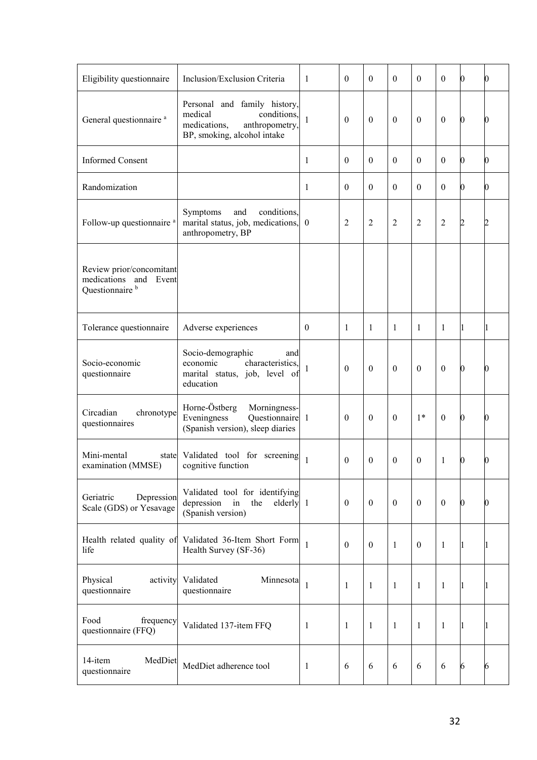| Eligibility questionnaire                                                          | Inclusion/Exclusion Criteria                                                                                            | 1        | $\theta$         | $\Omega$       | $\theta$       | $\theta$         | $\boldsymbol{0}$ | 0        | $\bf{0}$ |
|------------------------------------------------------------------------------------|-------------------------------------------------------------------------------------------------------------------------|----------|------------------|----------------|----------------|------------------|------------------|----------|----------|
| General questionnaire <sup>a</sup>                                                 | Personal and family history,<br>medical<br>conditions,<br>medications,<br>anthropometry,<br>BP, smoking, alcohol intake | 1        | $\theta$         | $\theta$       | $\mathbf{0}$   | $\boldsymbol{0}$ | $\boldsymbol{0}$ | 0        | $\bf{0}$ |
| <b>Informed Consent</b>                                                            |                                                                                                                         | 1        | $\theta$         | $\theta$       | $\theta$       | $\theta$         | $\boldsymbol{0}$ | 0        | $\bf{0}$ |
| Randomization                                                                      |                                                                                                                         | 1        | $\theta$         | $\theta$       | $\theta$       | $\theta$         | $\boldsymbol{0}$ | 0        | $\bf{0}$ |
| Follow-up questionnaire a                                                          | Symptoms<br>and<br>conditions,<br>marital status, job, medications, 0<br>anthropometry, BP                              |          | $\overline{2}$   | $\overline{2}$ | $\overline{2}$ | 2                | 2                | 2        | 2        |
| Review prior/concomitant<br>medications and<br>Event<br>Questionnaire <sup>b</sup> |                                                                                                                         |          |                  |                |                |                  |                  |          |          |
| Tolerance questionnaire                                                            | Adverse experiences                                                                                                     | $\theta$ | 1                | 1              | $\mathbf{1}$   | 1                | $\mathbf{1}$     |          | 1        |
| Socio-economic<br>questionnaire                                                    | Socio-demographic<br>and<br>characteristics,<br>economic<br>marital status, job, level of<br>education                  |          | $\theta$         | $\theta$       | $\theta$       | $\boldsymbol{0}$ | $\boldsymbol{0}$ | 0        | Ю        |
| Circadian<br>chronotype<br>questionnaires                                          | Horne-Östberg<br>Morningness-<br>Eveningness<br>Questionnaire 1<br>(Spanish version), sleep diaries                     |          | $\theta$         | $\theta$       | $\theta$       | $1*$             | $\boldsymbol{0}$ | 0        | $\bf{0}$ |
| Mini-mental<br>examination (MMSE)                                                  | state Validated tool for screening $\begin{bmatrix} 1 \end{bmatrix}$<br>cognitive function                              |          | $\boldsymbol{0}$ | $\mathbf{0}$   | $\mathbf{0}$   | $\boldsymbol{0}$ | 1                | 0        | 0        |
| Geriatric<br>Depression<br>Scale (GDS) or Yesavage                                 | Validated tool for identifying<br>depression<br>the<br>elderly 1<br>in<br>(Spanish version)                             |          | $\mathbf{0}$     | $\theta$       | $\theta$       | $\mathbf{0}$     | $\boldsymbol{0}$ | $\bf{0}$ | $\bf{0}$ |
| life                                                                               | Health related quality of Validated 36-Item Short Form<br>Health Survey (SF-36)                                         | 1        | $\theta$         | $\theta$       | $\mathbf{1}$   | $\boldsymbol{0}$ | $\mathbf{1}$     |          | 1        |
| Physical<br>activity<br>questionnaire                                              | Validated<br>Minnesota<br>questionnaire                                                                                 | 1        | 1                | $\mathbf{1}$   | -1             | $\mathbf{1}$     | $\mathbf{1}$     |          | 11       |
| Food<br>frequency<br>questionnaire (FFQ)                                           | Validated 137-item FFQ                                                                                                  | 1        | 1                | 1              | -1             | $\mathbf{1}$     | $\mathbf{1}$     |          | 1        |
| 14-item<br>MedDiet<br>questionnaire                                                | MedDiet adherence tool                                                                                                  | 1        | 6                | 6              | 6              | 6                | 6                | 6        | 6        |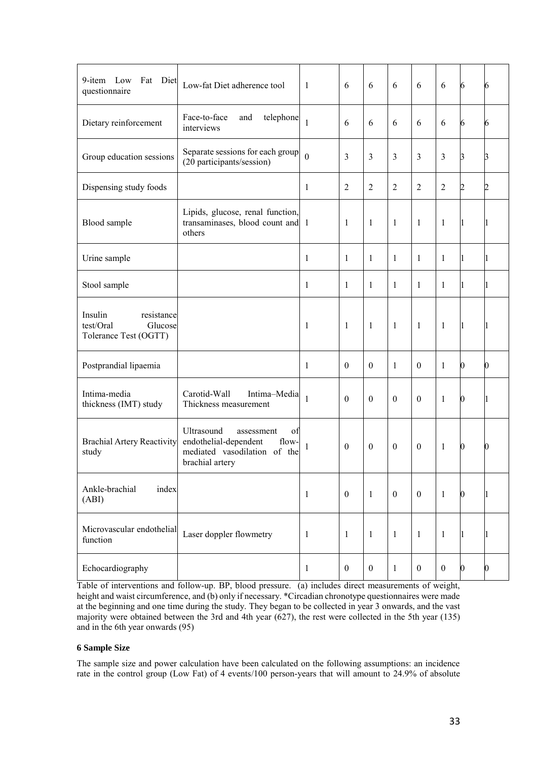| 9-item Low<br>Fat Diet<br>questionnaire                                | Low-fat Diet adherence tool                                                                                         | -1           | 6                | 6                | 6                | 6                | 6                | 6                | 6                |
|------------------------------------------------------------------------|---------------------------------------------------------------------------------------------------------------------|--------------|------------------|------------------|------------------|------------------|------------------|------------------|------------------|
| Dietary reinforcement                                                  | Face-to-face<br>telephone<br>and<br>interviews                                                                      | 1            | 6                | 6                | 6                | 6                | 6                | 6                | 6                |
| Group education sessions                                               | Separate sessions for each group<br>(20 participants/session)                                                       | $\theta$     | 3                | $\overline{3}$   | 3                | $\mathfrak{Z}$   | $\mathfrak{Z}$   | З                | 3                |
| Dispensing study foods                                                 |                                                                                                                     | 1            | $\overline{2}$   | $\overline{2}$   | $\overline{2}$   | $\overline{2}$   | $\overline{2}$   | 2                | 2                |
| Blood sample                                                           | Lipids, glucose, renal function,<br>transaminases, blood count and 1<br>others                                      |              | 1                | $\mathbf{1}$     | $\mathbf{1}$     | 1                | $\mathbf{1}$     | L                | 11               |
| Urine sample                                                           |                                                                                                                     | 1            | 1                | $\mathbf{1}$     | $\mathbf{1}$     | $\mathbf{1}$     | $\mathbf{1}$     | L                | 11               |
| Stool sample                                                           |                                                                                                                     | 1            | 1                | 1                | 1                | 1                | 1                |                  | 11               |
| Insulin<br>resistance<br>test/Oral<br>Glucose<br>Tolerance Test (OGTT) |                                                                                                                     | 1            | $\mathbf{1}$     | $\mathbf{1}$     | $\mathbf{1}$     | $\mathbf{1}$     | $\mathbf{1}$     | 11               | 11               |
| Postprandial lipaemia                                                  |                                                                                                                     | $\mathbf{1}$ | $\boldsymbol{0}$ | $\boldsymbol{0}$ | $\mathbf{1}$     | $\mathbf{0}$     | $\mathbf{1}$     | $\boldsymbol{0}$ | $\boldsymbol{0}$ |
| Intima-media<br>thickness (IMT) study                                  | Carotid-Wall<br>Intima-Media<br>Thickness measurement                                                               | 1            | $\theta$         | $\theta$         | $\theta$         | $\theta$         | $\mathbf{1}$     | $\bf{0}$         | 11               |
| <b>Brachial Artery Reactivity</b><br>study                             | Ultrasound<br>assessment<br>of<br>endothelial-dependent<br>flow-<br>mediated vasodilation of the<br>brachial artery | 1            | $\boldsymbol{0}$ | $\boldsymbol{0}$ | $\boldsymbol{0}$ | $\boldsymbol{0}$ | 1                | 0                | 0                |
| Ankle-brachial<br>index<br>(ABI)                                       |                                                                                                                     | 1            | $\boldsymbol{0}$ | $\mathbf{1}$     | $\boldsymbol{0}$ | $\boldsymbol{0}$ | $\mathbf{1}$     | 0                |                  |
| Microvascular endothelial<br>function                                  | Laser doppler flowmetry                                                                                             | $\mathbf{1}$ | $\mathbf{1}$     | $\mathbf{1}$     | $\mathbf{1}$     | $\mathbf{1}$     | $\mathbf{1}$     | 1                | 11               |
| Echocardiography                                                       |                                                                                                                     | 1            | $\boldsymbol{0}$ | $\boldsymbol{0}$ | 1                | $\boldsymbol{0}$ | $\boldsymbol{0}$ | 0                | $\bf{0}$         |

Table of interventions and follow-up. BP, blood pressure. (a) includes direct measurements of weight, height and waist circumference, and (b) only if necessary. \*Circadian chronotype questionnaires were made at the beginning and one time during the study. They began to be collected in year 3 onwards, and the vast majority were obtained between the 3rd and 4th year (627), the rest were collected in the 5th year (135) and in the 6th year onwards (95)

## **6 Sample Size**

The sample size and power calculation have been calculated on the following assumptions: an incidence rate in the control group (Low Fat) of 4 events/100 person-years that will amount to 24.9% of absolute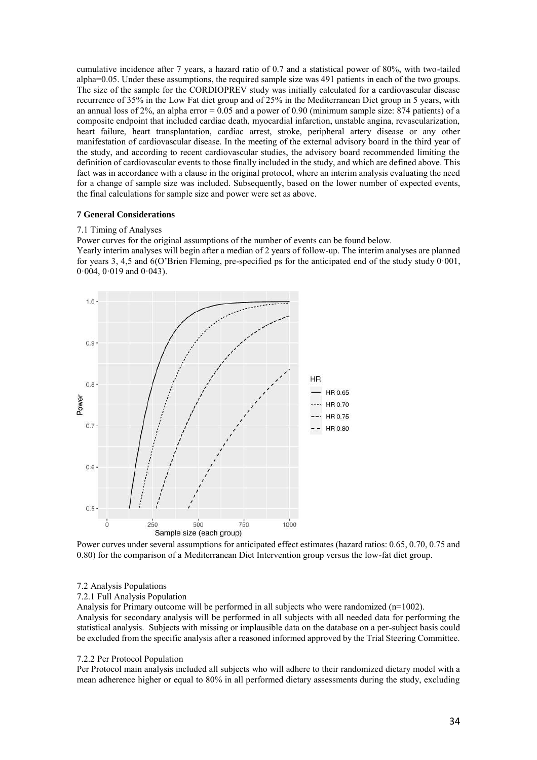cumulative incidence after 7 years, a hazard ratio of 0.7 and a statistical power of 80%, with two-tailed alpha=0.05. Under these assumptions, the required sample size was 491 patients in each of the two groups. The size of the sample for the CORDIOPREV study was initially calculated for a cardiovascular disease recurrence of 35% in the Low Fat diet group and of 25% in the Mediterranean Diet group in 5 years, with an annual loss of 2%, an alpha error  $= 0.05$  and a power of 0.90 (minimum sample size: 874 patients) of a composite endpoint that included cardiac death, myocardial infarction, unstable angina, revascularization, heart failure, heart transplantation, cardiac arrest, stroke, peripheral artery disease or any other manifestation of cardiovascular disease. In the meeting of the external advisory board in the third year of the study, and according to recent cardiovascular studies, the advisory board recommended limiting the definition of cardiovascular events to those finally included in the study, and which are defined above. This fact was in accordance with a clause in the original protocol, where an interim analysis evaluating the need for a change of sample size was included. Subsequently, based on the lower number of expected events, the final calculations for sample size and power were set as above.

#### **7 General Considerations**

#### 7.1 Timing of Analyses

Power curves for the original assumptions of the number of events can be found below.

Yearly interim analyses will begin after a median of 2 years of follow-up. The interim analyses are planned for years 3, 4,5 and 6(O'Brien Fleming, pre-specified ps for the anticipated end of the study study 0·001,  $0.004$ ,  $0.019$  and  $0.043$ ).



Power curves under several assumptions for anticipated effect estimates (hazard ratios: 0.65, 0.70, 0.75 and 0.80) for the comparison of a Mediterranean Diet Intervention group versus the low-fat diet group.

#### 7.2 Analysis Populations

#### 7.2.1 Full Analysis Population

Analysis for Primary outcome will be performed in all subjects who were randomized  $(n=1002)$ . Analysis for secondary analysis will be performed in all subjects with all needed data for performing the statistical analysis. Subjects with missing or implausible data on the database on a per-subject basis could be excluded from the specific analysis after a reasoned informed approved by the Trial Steering Committee.

#### 7.2.2 Per Protocol Population

Per Protocol main analysis included all subjects who will adhere to their randomized dietary model with a mean adherence higher or equal to 80% in all performed dietary assessments during the study, excluding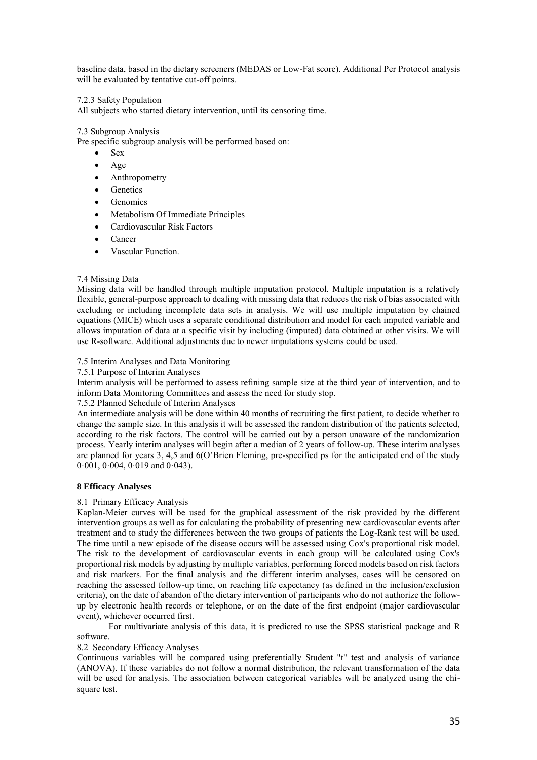baseline data, based in the dietary screeners (MEDAS or Low-Fat score). Additional Per Protocol analysis will be evaluated by tentative cut-off points.

## 7.2.3 Safety Population

All subjects who started dietary intervention, until its censoring time.

## 7.3 Subgroup Analysis

Pre specific subgroup analysis will be performed based on:

- Sex
- $\bullet$  Age
- Anthropometry
- Genetics
- Genomics
- Metabolism Of Immediate Principles
- Cardiovascular Risk Factors
- Cancer
- Vascular Function.

## 7.4 Missing Data

Missing data will be handled through multiple imputation protocol. Multiple imputation is a relatively flexible, general-purpose approach to dealing with missing data that reduces the risk of bias associated with excluding or including incomplete data sets in analysis. We will use multiple imputation by chained equations (MICE) which uses a separate conditional distribution and model for each imputed variable and allows imputation of data at a specific visit by including (imputed) data obtained at other visits. We will use R-software. Additional adjustments due to newer imputations systems could be used.

## 7.5 Interim Analyses and Data Monitoring

7.5.1 Purpose of Interim Analyses

Interim analysis will be performed to assess refining sample size at the third year of intervention, and to inform Data Monitoring Committees and assess the need for study stop.

## 7.5.2 Planned Schedule of Interim Analyses

An intermediate analysis will be done within 40 months of recruiting the first patient, to decide whether to change the sample size. In this analysis it will be assessed the random distribution of the patients selected, according to the risk factors. The control will be carried out by a person unaware of the randomization process. Yearly interim analyses will begin after a median of 2 years of follow-up. These interim analyses are planned for years 3, 4,5 and 6(O'Brien Fleming, pre-specified ps for the anticipated end of the study 0·001, 0·004, 0·019 and 0·043).

#### **8 Efficacy Analyses**

#### 8.1 Primary Efficacy Analysis

Kaplan-Meier curves will be used for the graphical assessment of the risk provided by the different intervention groups as well as for calculating the probability of presenting new cardiovascular events after treatment and to study the differences between the two groups of patients the Log-Rank test will be used. The time until a new episode of the disease occurs will be assessed using Cox's proportional risk model. The risk to the development of cardiovascular events in each group will be calculated using Cox's proportional risk models by adjusting by multiple variables, performing forced models based on risk factors and risk markers. For the final analysis and the different interim analyses, cases will be censored on reaching the assessed follow-up time, on reaching life expectancy (as defined in the inclusion/exclusion criteria), on the date of abandon of the dietary intervention of participants who do not authorize the followup by electronic health records or telephone, or on the date of the first endpoint (major cardiovascular event), whichever occurred first.

 For multivariate analysis of this data, it is predicted to use the SPSS statistical package and R software.

## 8.2 Secondary Efficacy Analyses

Continuous variables will be compared using preferentially Student "t" test and analysis of variance (ANOVA). If these variables do not follow a normal distribution, the relevant transformation of the data will be used for analysis. The association between categorical variables will be analyzed using the chisquare test.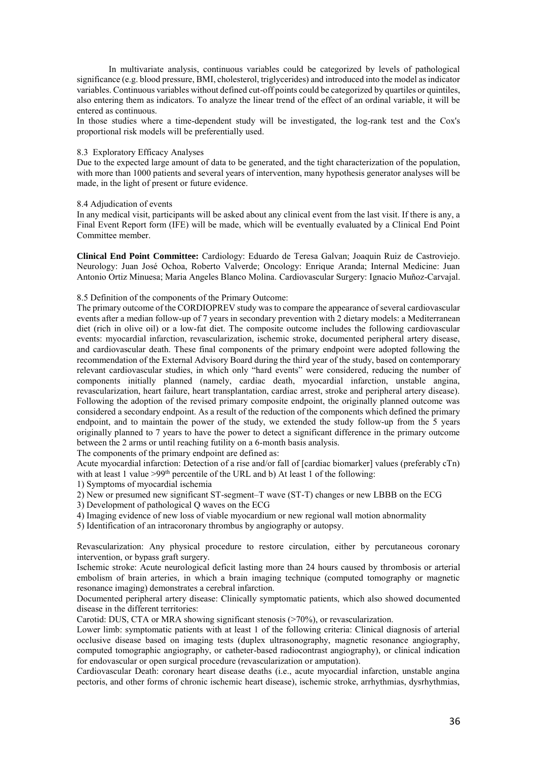In multivariate analysis, continuous variables could be categorized by levels of pathological significance (e.g. blood pressure, BMI, cholesterol, triglycerides) and introduced into the model as indicator variables. Continuous variables without defined cut-off points could be categorized by quartiles or quintiles, also entering them as indicators. To analyze the linear trend of the effect of an ordinal variable, it will be entered as continuous.

In those studies where a time-dependent study will be investigated, the log-rank test and the Cox's proportional risk models will be preferentially used.

## 8.3 Exploratory Efficacy Analyses

Due to the expected large amount of data to be generated, and the tight characterization of the population, with more than 1000 patients and several years of intervention, many hypothesis generator analyses will be made, in the light of present or future evidence.

#### 8.4 Adjudication of events

In any medical visit, participants will be asked about any clinical event from the last visit. If there is any, a Final Event Report form (IFE) will be made, which will be eventually evaluated by a Clinical End Point Committee member.

**Clinical End Point Committee:** Cardiology: Eduardo de Teresa Galvan; Joaquin Ruiz de Castroviejo. Neurology: Juan José Ochoa, Roberto Valverde; Oncology: Enrique Aranda; Internal Medicine: Juan Antonio Ortiz Minuesa; Maria Angeles Blanco Molina. Cardiovascular Surgery: Ignacio Muñoz-Carvajal.

## 8.5 Definition of the components of the Primary Outcome:

The primary outcome of the CORDIOPREV study was to compare the appearance of several cardiovascular events after a median follow-up of 7 years in secondary prevention with 2 dietary models: a Mediterranean diet (rich in olive oil) or a low-fat diet. The composite outcome includes the following cardiovascular events: myocardial infarction, revascularization, ischemic stroke, documented peripheral artery disease, and cardiovascular death. These final components of the primary endpoint were adopted following the recommendation of the External Advisory Board during the third year of the study, based on contemporary relevant cardiovascular studies, in which only "hard events" were considered, reducing the number of components initially planned (namely, cardiac death, myocardial infarction, unstable angina, revascularization, heart failure, heart transplantation, cardiac arrest, stroke and peripheral artery disease). Following the adoption of the revised primary composite endpoint, the originally planned outcome was considered a secondary endpoint. As a result of the reduction of the components which defined the primary endpoint, and to maintain the power of the study, we extended the study follow-up from the 5 years originally planned to 7 years to have the power to detect a significant difference in the primary outcome between the 2 arms or until reaching futility on a 6-month basis analysis.

The components of the primary endpoint are defined as:

Acute myocardial infarction: Detection of a rise and/or fall of [cardiac biomarker] values (preferably cTn) with at least 1 value  $>99<sup>th</sup>$  percentile of the URL and b) At least 1 of the following:

1) Symptoms of myocardial ischemia

2) New or presumed new significant ST-segment–T wave (ST-T) changes or new LBBB on the ECG

- 3) Development of pathological Q waves on the ECG
- 4) Imaging evidence of new loss of viable myocardium or new regional wall motion abnormality

5) Identification of an intracoronary thrombus by angiography or autopsy.

Revascularization: Any physical procedure to restore circulation, either by percutaneous coronary intervention, or bypass graft surgery.

Ischemic stroke: Acute neurological deficit lasting more than 24 hours caused by thrombosis or arterial embolism of brain arteries, in which a brain imaging technique (computed tomography or magnetic resonance imaging) demonstrates a cerebral infarction.

Documented peripheral artery disease: Clinically symptomatic patients, which also showed documented disease in the different territories:

Carotid: DUS, CTA or MRA showing significant stenosis (>70%), or revascularization.

Lower limb: symptomatic patients with at least 1 of the following criteria: Clinical diagnosis of arterial occlusive disease based on imaging tests (duplex ultrasonography, magnetic resonance angiography, computed tomographic angiography, or catheter-based radiocontrast angiography), or clinical indication for endovascular or open surgical procedure (revascularization or amputation).

Cardiovascular Death: coronary heart disease deaths (i.e., acute myocardial infarction, unstable angina pectoris, and other forms of chronic ischemic heart disease), ischemic stroke, arrhythmias, dysrhythmias,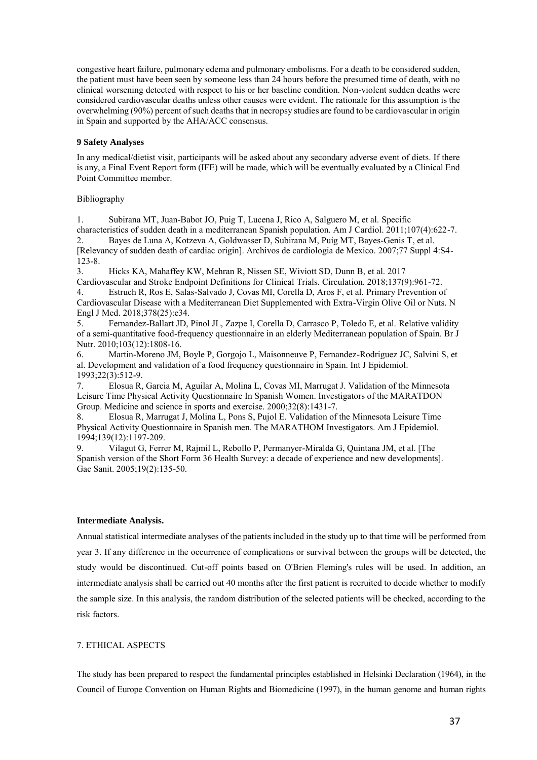congestive heart failure, pulmonary edema and pulmonary embolisms. For a death to be considered sudden, the patient must have been seen by someone less than 24 hours before the presumed time of death, with no clinical worsening detected with respect to his or her baseline condition. Non-violent sudden deaths were considered cardiovascular deaths unless other causes were evident. The rationale for this assumption is the overwhelming (90%) percent of such deaths that in necropsy studies are found to be cardiovascular in origin in Spain and supported by the AHA/ACC consensus.

## **9 Safety Analyses**

In any medical/dietist visit, participants will be asked about any secondary adverse event of diets. If there is any, a Final Event Report form (IFE) will be made, which will be eventually evaluated by a Clinical End Point Committee member.

## Bibliography

1. Subirana MT, Juan-Babot JO, Puig T, Lucena J, Rico A, Salguero M, et al. Specific characteristics of sudden death in a mediterranean Spanish population. Am J Cardiol. 2011;107(4):622-7. 2. Bayes de Luna A, Kotzeva A, Goldwasser D, Subirana M, Puig MT, Bayes-Genis T, et al.

[Relevancy of sudden death of cardiac origin]. Archivos de cardiologia de Mexico. 2007;77 Suppl 4:S4-  $123-8.$ <br>3.

3. Hicks KA, Mahaffey KW, Mehran R, Nissen SE, Wiviott SD, Dunn B, et al. 2017

Cardiovascular and Stroke Endpoint Definitions for Clinical Trials. Circulation. 2018;137(9):961-72. 4. Estruch R, Ros E, Salas-Salvado J, Covas MI, Corella D, Aros F, et al. Primary Prevention of Cardiovascular Disease with a Mediterranean Diet Supplemented with Extra-Virgin Olive Oil or Nuts. N Engl J Med. 2018;378(25):e34.

5. Fernandez-Ballart JD, Pinol JL, Zazpe I, Corella D, Carrasco P, Toledo E, et al. Relative validity of a semi-quantitative food-frequency questionnaire in an elderly Mediterranean population of Spain. Br J Nutr. 2010;103(12):1808-16.

6. Martin-Moreno JM, Boyle P, Gorgojo L, Maisonneuve P, Fernandez-Rodriguez JC, Salvini S, et al. Development and validation of a food frequency questionnaire in Spain. Int J Epidemiol. 1993;22(3):512-9.

7. Elosua R, Garcia M, Aguilar A, Molina L, Covas MI, Marrugat J. Validation of the Minnesota Leisure Time Physical Activity Questionnaire In Spanish Women. Investigators of the MARATDON Group. Medicine and science in sports and exercise. 2000;32(8):1431-7.

8. Elosua R, Marrugat J, Molina L, Pons S, Pujol E. Validation of the Minnesota Leisure Time Physical Activity Questionnaire in Spanish men. The MARATHOM Investigators. Am J Epidemiol. 1994;139(12):1197-209.

9. Vilagut G, Ferrer M, Rajmil L, Rebollo P, Permanyer-Miralda G, Quintana JM, et al. [The Spanish version of the Short Form 36 Health Survey: a decade of experience and new developments]. Gac Sanit. 2005;19(2):135-50.

#### **Intermediate Analysis.**

Annual statistical intermediate analyses of the patients included in the study up to that time will be performed from year 3. If any difference in the occurrence of complications or survival between the groups will be detected, the study would be discontinued. Cut-off points based on O'Brien Fleming's rules will be used. In addition, an intermediate analysis shall be carried out 40 months after the first patient is recruited to decide whether to modify the sample size. In this analysis, the random distribution of the selected patients will be checked, according to the risk factors.

## <span id="page-36-0"></span>7. ETHICAL ASPECTS

The study has been prepared to respect the fundamental principles established in Helsinki Declaration (1964), in the Council of Europe Convention on Human Rights and Biomedicine (1997), in the human genome and human rights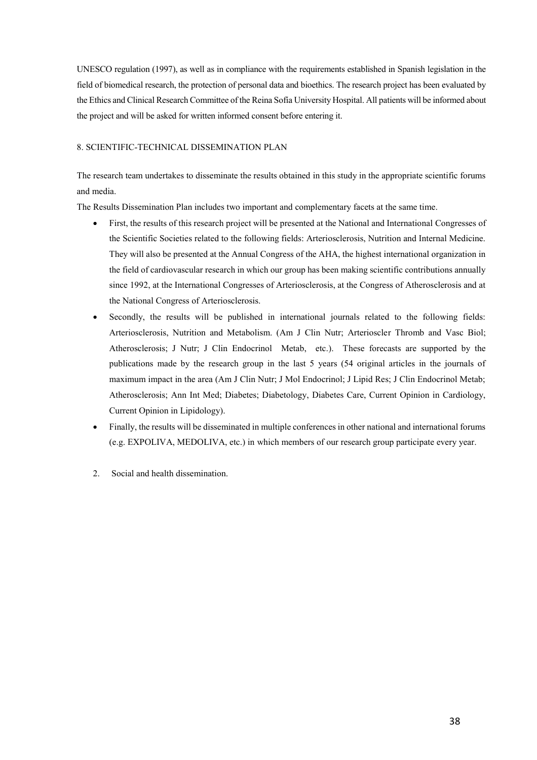UNESCO regulation (1997), as well as in compliance with the requirements established in Spanish legislation in the field of biomedical research, the protection of personal data and bioethics. The research project has been evaluated by the Ethics and Clinical Research Committee of the Reina Sofía University Hospital. All patients will be informed about the project and will be asked for written informed consent before entering it.

## <span id="page-37-0"></span>8. SCIENTIFIC-TECHNICAL DISSEMINATION PLAN

The research team undertakes to disseminate the results obtained in this study in the appropriate scientific forums and media.

The Results Dissemination Plan includes two important and complementary facets at the same time.

- First, the results of this research project will be presented at the National and International Congresses of the Scientific Societies related to the following fields: Arteriosclerosis, Nutrition and Internal Medicine. They will also be presented at the Annual Congress of the AHA, the highest international organization in the field of cardiovascular research in which our group has been making scientific contributions annually since 1992, at the International Congresses of Arteriosclerosis, at the Congress of Atherosclerosis and at the National Congress of Arteriosclerosis.
- Secondly, the results will be published in international journals related to the following fields: Arteriosclerosis, Nutrition and Metabolism. (Am J Clin Nutr; Arterioscler Thromb and Vasc Biol; Atherosclerosis; J Nutr; J Clin Endocrinol Metab, etc.). These forecasts are supported by the publications made by the research group in the last 5 years (54 original articles in the journals of maximum impact in the area (Am J Clin Nutr; J Mol Endocrinol; J Lipid Res; J Clin Endocrinol Metab; Atherosclerosis; Ann Int Med; Diabetes; Diabetology, Diabetes Care, Current Opinion in Cardiology, Current Opinion in Lipidology).
- Finally, the results will be disseminated in multiple conferences in other national and international forums (e.g. EXPOLIVA, MEDOLIVA, etc.) in which members of our research group participate every year.
- 2. Social and health dissemination.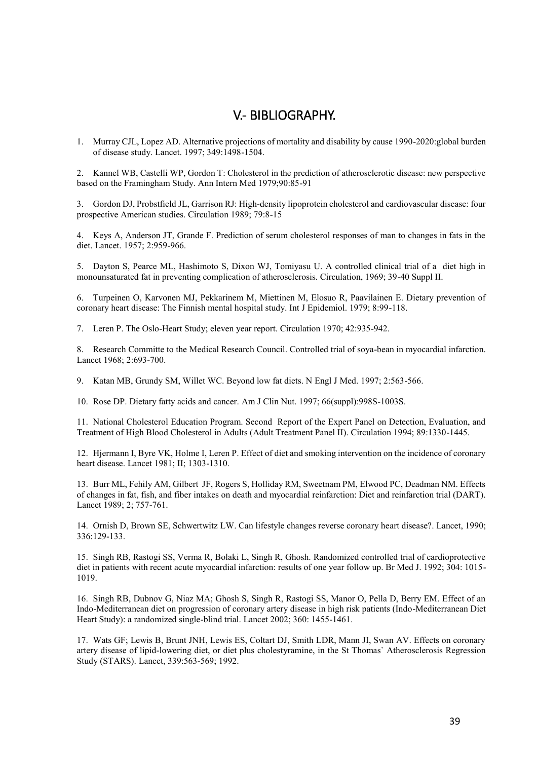# <span id="page-38-0"></span>V.- BIBLIOGRAPHY.

1. Murray CJL, Lopez AD. Alternative projections of mortality and disability by cause 1990-2020:global burden of disease study. Lancet. 1997; 349:1498-1504.

2. Kannel WB, Castelli WP, Gordon T: Cholesterol in the prediction of atherosclerotic disease: new perspective based on the Framingham Study. Ann Intern Med 1979;90:85-91

3. Gordon DJ, Probstfield JL, Garrison RJ: High-density lipoprotein cholesterol and cardiovascular disease: four prospective American studies. Circulation 1989; 79:8-15

4. Keys A, Anderson JT, Grande F. Prediction of serum cholesterol responses of man to changes in fats in the diet. Lancet. 1957; 2:959-966.

5. Dayton S, Pearce ML, Hashimoto S, Dixon WJ, Tomiyasu U. A controlled clinical trial of a diet high in monounsaturated fat in preventing complication of atherosclerosis. Circulation, 1969; 39-40 Suppl II.

6. Turpeinen O, Karvonen MJ, Pekkarinem M, Miettinen M, Elosuo R, Paavilainen E. Dietary prevention of coronary heart disease: The Finnish mental hospital study. Int J Epidemiol. 1979; 8:99-118.

7. Leren P. The Oslo-Heart Study; eleven year report. Circulation 1970; 42:935-942.

8. Research Committe to the Medical Research Council. Controlled trial of soya-bean in myocardial infarction. Lancet 1968; 2:693-700.

9. Katan MB, Grundy SM, Willet WC. Beyond low fat diets. N Engl J Med. 1997; 2:563-566.

10. Rose DP. Dietary fatty acids and cancer. Am J Clin Nut. 1997; 66(suppl):998S-1003S.

11. National Cholesterol Education Program. Second Report of the Expert Panel on Detection, Evaluation, and Treatment of High Blood Cholesterol in Adults (Adult Treatment Panel II). Circulation 1994; 89:1330-1445.

12. Hjermann I, Byre VK, Holme I, Leren P. Effect of diet and smoking intervention on the incidence of coronary heart disease. Lancet 1981; II; 1303-1310.

13. Burr ML, Fehily AM, Gilbert JF, Rogers S, Holliday RM, Sweetnam PM, Elwood PC, Deadman NM. Effects of changes in fat, fish, and fiber intakes on death and myocardial reinfarction: Diet and reinfarction trial (DART). Lancet 1989; 2; 757-761.

14. Ornish D, Brown SE, Schwertwitz LW. Can lifestyle changes reverse coronary heart disease?. Lancet, 1990; 336:129-133.

15. Singh RB, Rastogi SS, Verma R, Bolaki L, Singh R, Ghosh. Randomized controlled trial of cardioprotective diet in patients with recent acute myocardial infarction: results of one year follow up. Br Med J. 1992; 304: 1015- 1019.

16. Singh RB, Dubnov G, Niaz MA; Ghosh S, Singh R, Rastogi SS, Manor O, Pella D, Berry EM. Effect of an Indo-Mediterranean diet on progression of coronary artery disease in high risk patients (Indo-Mediterranean Diet Heart Study): a randomized single-blind trial. Lancet 2002; 360: 1455-1461.

17. Wats GF; Lewis B, Brunt JNH, Lewis ES, Coltart DJ, Smith LDR, Mann JI, Swan AV. Effects on coronary artery disease of lipid-lowering diet, or diet plus cholestyramine, in the St Thomas` Atherosclerosis Regression Study (STARS). Lancet, 339:563-569; 1992.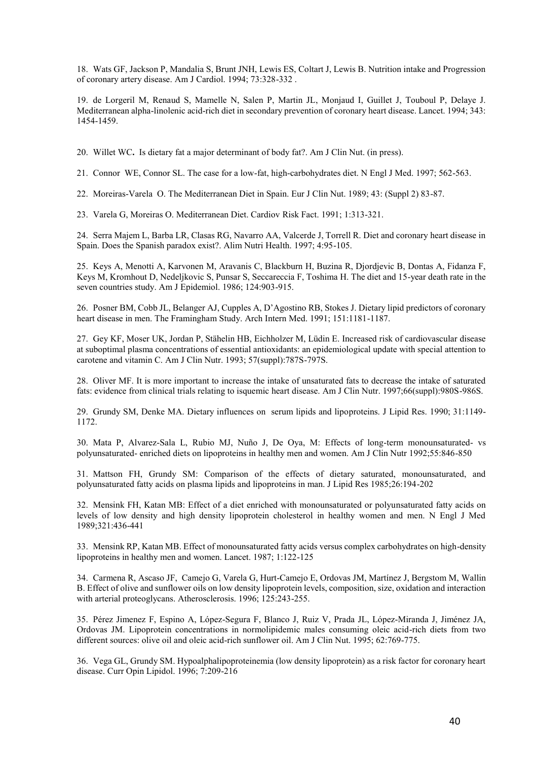18. Wats GF, Jackson P, Mandalia S, Brunt JNH, Lewis ES, Coltart J, Lewis B. Nutrition intake and Progression of coronary artery disease. Am J Cardiol. 1994; 73:328-332 .

19. de Lorgeril M, Renaud S, Mamelle N, Salen P, Martin JL, Monjaud I, Guillet J, Touboul P, Delaye J. Mediterranean alpha-linolenic acid-rich diet in secondary prevention of coronary heart disease. Lancet. 1994; 343: 1454-1459.

20. Willet WC**.** Is dietary fat a major determinant of body fat?. Am J Clin Nut. (in press).

21. Connor WE, Connor SL. The case for a low-fat, high-carbohydrates diet. N Engl J Med. 1997; 562-563.

22. Moreiras-Varela O. The Mediterranean Diet in Spain. Eur J Clin Nut. 1989; 43: (Suppl 2) 83-87.

23. Varela G, Moreiras O. Mediterranean Diet. Cardiov Risk Fact. 1991; 1:313-321.

24. Serra Majem L, Barba LR, Clasas RG, Navarro AA, Valcerde J, Torrell R. Diet and coronary heart disease in Spain. Does the Spanish paradox exist?. Alim Nutri Health. 1997; 4:95-105.

25. Keys A, Menotti A, Karvonen M, Aravanis C, Blackburn H, Buzina R, Djordjevic B, Dontas A, Fidanza F, Keys M, Kromhout D, Nedeljkovic S, Punsar S, Seccareccia F, Toshima H. The diet and 15-year death rate in the seven countries study. Am J Epidemiol. 1986; 124:903-915.

26. Posner BM, Cobb JL, Belanger AJ, Cupples A, D'Agostino RB, Stokes J. Dietary lipid predictors of coronary heart disease in men. The Framingham Study. Arch Intern Med. 1991; 151:1181-1187.

27. Gey KF, Moser UK, Jordan P, Stähelin HB, Eichholzer M, Lüdin E. Increased risk of cardiovascular disease at suboptimal plasma concentrations of essential antioxidants: an epidemiological update with special attention to carotene and vitamin C. Am J Clin Nutr. 1993; 57(suppl):787S-797S.

28. Oliver MF. It is more important to increase the intake of unsaturated fats to decrease the intake of saturated fats: evidence from clinical trials relating to isquemic heart disease. Am J Clin Nutr. 1997;66(suppl):980S-986S.

29. Grundy SM, Denke MA. Dietary influences on serum lipids and lipoproteins. J Lipid Res. 1990; 31:1149- 1172.

30. Mata P, Alvarez-Sala L, Rubio MJ, Nuño J, De Oya, M: Effects of long-term monounsaturated- vs polyunsaturated- enriched diets on lipoproteins in healthy men and women. Am J Clin Nutr 1992;55:846-850

31. Mattson FH, Grundy SM: Comparison of the effects of dietary saturated, monounsaturated, and polyunsaturated fatty acids on plasma lipids and lipoproteins in man. J Lipid Res 1985;26:194-202

32. Mensink FH, Katan MB: Effect of a diet enriched with monounsaturated or polyunsaturated fatty acids on levels of low density and high density lipoprotein cholesterol in healthy women and men. N Engl J Med 1989;321:436-441

33. Mensink RP, Katan MB. Effect of monounsaturated fatty acids versus complex carbohydrates on high-density lipoproteins in healthy men and women. Lancet. 1987; 1:122-125

34. Carmena R, Ascaso JF, Camejo G, Varela G, Hurt-Camejo E, Ordovas JM, Martínez J, Bergstom M, Wallin B. Effect of olive and sunflower oils on low density lipoprotein levels, composition, size, oxidation and interaction with arterial proteoglycans. Atherosclerosis. 1996; 125:243-255.

35. Pérez Jimenez F, Espino A, López-Segura F, Blanco J, Ruiz V, Prada JL, López-Miranda J, Jiménez JA, Ordovas JM. Lipoprotein concentrations in normolipidemic males consuming oleic acid-rich diets from two different sources: olive oil and oleic acid-rich sunflower oil. Am J Clin Nut. 1995; 62:769-775.

36. Vega GL, Grundy SM. Hypoalphalipoproteinemia (low density lipoprotein) as a risk factor for coronary heart disease. Curr Opin Lipidol. 1996; 7:209-216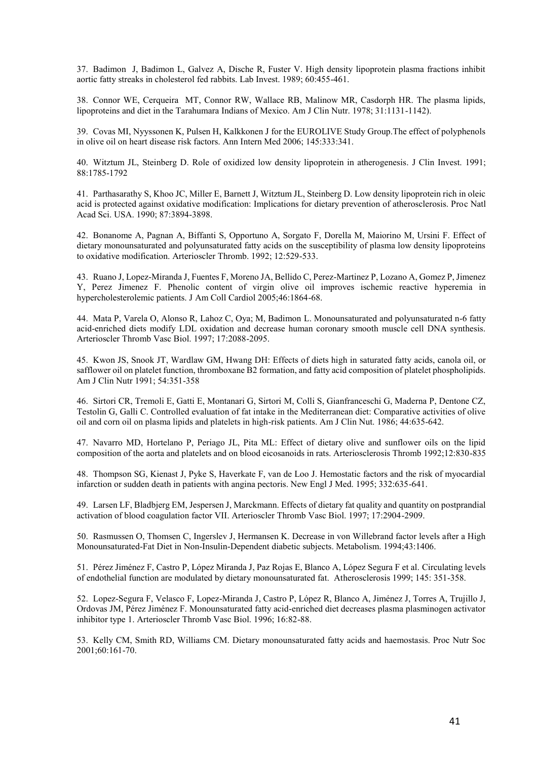37. Badimon J, Badimon L, Galvez A, Dische R, Fuster V. High density lipoprotein plasma fractions inhibit aortic fatty streaks in cholesterol fed rabbits. Lab Invest. 1989; 60:455-461.

38. Connor WE, Cerqueira MT, Connor RW, Wallace RB, Malinow MR, Casdorph HR. The plasma lipids, lipoproteins and diet in the Tarahumara Indians of Mexico. Am J Clin Nutr. 1978; 31:1131-1142).

39. Covas MI, Nyyssonen K, Pulsen H, Kalkkonen J for the EUROLIVE Study Group.The effect of polyphenols in olive oil on heart disease risk factors. Ann Intern Med 2006; 145:333:341.

40. Witztum JL, Steinberg D. Role of oxidized low density lipoprotein in atherogenesis. J Clin Invest. 1991; 88:1785-1792

41. Parthasarathy S, Khoo JC, Miller E, Barnett J, Witztum JL, Steinberg D. Low density lipoprotein rich in oleic acid is protected against oxidative modification: Implications for dietary prevention of atherosclerosis. Proc Natl Acad Sci. USA. 1990; 87:3894-3898.

42. Bonanome A, Pagnan A, Biffanti S, Opportuno A, Sorgato F, Dorella M, Maiorino M, Ursini F. Effect of dietary monounsaturated and polyunsaturated fatty acids on the susceptibility of plasma low density lipoproteins to oxidative modification. Arterioscler Thromb. 1992; 12:529-533.

43. Ruano J, Lopez-Miranda J, Fuentes F, Moreno JA, Bellido C, Perez-Martinez P, Lozano A, Gomez P, Jimenez Y, Perez Jimenez F. Phenolic content of virgin olive oil improves ischemic reactive hyperemia in hypercholesterolemic patients. J Am Coll Cardiol 2005;46:1864-68.

44. Mata P, Varela O, Alonso R, Lahoz C, Oya; M, Badimon L. Monounsaturated and polyunsaturated n-6 fatty acid-enriched diets modify LDL oxidation and decrease human coronary smooth muscle cell DNA synthesis. Arterioscler Thromb Vasc Biol. 1997; 17:2088-2095.

45. Kwon JS, Snook JT, Wardlaw GM, Hwang DH: Effects of diets high in saturated fatty acids, canola oil, or safflower oil on platelet function, thromboxane B2 formation, and fatty acid composition of platelet phospholipids. Am J Clin Nutr 1991; 54:351-358

46. Sirtori CR, Tremoli E, Gatti E, Montanari G, Sirtori M, Colli S, Gianfranceschi G, Maderna P, Dentone CZ, Testolin G, Galli C. Controlled evaluation of fat intake in the Mediterranean diet: Comparative activities of olive oil and corn oil on plasma lipids and platelets in high-risk patients. Am J Clin Nut. 1986; 44:635-642.

47. Navarro MD, Hortelano P, Periago JL, Pita ML: Effect of dietary olive and sunflower oils on the lipid composition of the aorta and platelets and on blood eicosanoids in rats. Arteriosclerosis Thromb 1992;12:830-835

48. Thompson SG, Kienast J, Pyke S, Haverkate F, van de Loo J. Hemostatic factors and the risk of myocardial infarction or sudden death in patients with angina pectoris. New Engl J Med. 1995; 332:635-641.

49. Larsen LF, Bladbjerg EM, Jespersen J, Marckmann. Effects of dietary fat quality and quantity on postprandial activation of blood coagulation factor VII. Arterioscler Thromb Vasc Biol. 1997; 17:2904-2909.

50. Rasmussen O, Thomsen C, Ingerslev J, Hermansen K. Decrease in von Willebrand factor levels after a High Monounsaturated-Fat Diet in Non-Insulin-Dependent diabetic subjects. Metabolism. 1994;43:1406.

51. Pérez Jiménez F, Castro P, López Miranda J, Paz Rojas E, Blanco A, López Segura F et al. Circulating levels of endothelial function are modulated by dietary monounsaturated fat. Atherosclerosis 1999; 145: 351-358.

52. Lopez-Segura F, Velasco F, Lopez-Miranda J, Castro P, López R, Blanco A, Jiménez J, Torres A, Trujillo J, Ordovas JM, Pérez Jiménez F. Monounsaturated fatty acid-enriched diet decreases plasma plasminogen activator inhibitor type 1. Arterioscler Thromb Vasc Biol. 1996; 16:82-88.

53. Kelly CM, Smith RD, Williams CM. Dietary monounsaturated fatty acids and haemostasis. Proc Nutr Soc 2001;60:161-70.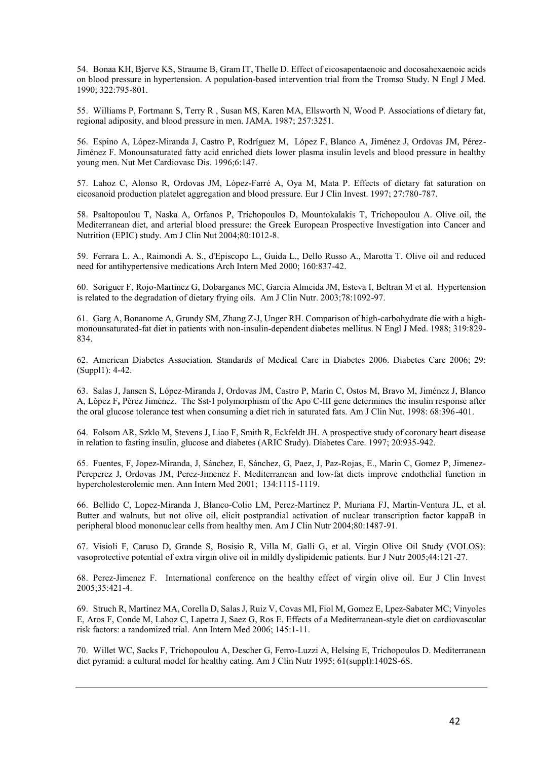54. Bonaa KH, Bjerve KS, Straume B, Gram IT, Thelle D. Effect of eicosapentaenoic and docosahexaenoic acids on blood pressure in hypertension. A population-based intervention trial from the Tromso Study. N Engl J Med. 1990; 322:795-801.

55. Williams P, Fortmann S, Terry R , Susan MS, Karen MA, Ellsworth N, Wood P. Associations of dietary fat, regional adiposity, and blood pressure in men. JAMA. 1987; 257:3251.

56. Espino A, López-Miranda J, Castro P, Rodríguez M, López F, Blanco A, Jiménez J, Ordovas JM, Pérez-Jiménez F. Monounsaturated fatty acid enriched diets lower plasma insulin levels and blood pressure in healthy young men. Nut Met Cardiovasc Dis. 1996;6:147.

57. Lahoz C, Alonso R, Ordovas JM, López-Farré A, Oya M, Mata P. Effects of dietary fat saturation on eicosanoid production platelet aggregation and blood pressure. Eur J Clin Invest. 1997; 27:780-787.

58. [Psaltopoulou T,](http://www.ncbi.nlm.nih.gov/entrez/query.fcgi?db=pubmed&cmd=Search&itool=pubmed_Abstract&term=%22Psaltopoulou+T%22%5BAuthor%5D) [Naska A,](http://www.ncbi.nlm.nih.gov/entrez/query.fcgi?db=pubmed&cmd=Search&itool=pubmed_Abstract&term=%22Naska+A%22%5BAuthor%5D) [Orfanos P,](http://www.ncbi.nlm.nih.gov/entrez/query.fcgi?db=pubmed&cmd=Search&itool=pubmed_Abstract&term=%22Orfanos+P%22%5BAuthor%5D) [Trichopoulos D,](http://www.ncbi.nlm.nih.gov/entrez/query.fcgi?db=pubmed&cmd=Search&itool=pubmed_Abstract&term=%22Trichopoulos+D%22%5BAuthor%5D) [Mountokalakis T,](http://www.ncbi.nlm.nih.gov/entrez/query.fcgi?db=pubmed&cmd=Search&itool=pubmed_Abstract&term=%22Mountokalakis+T%22%5BAuthor%5D) [Trichopoulou A.](http://www.ncbi.nlm.nih.gov/entrez/query.fcgi?db=pubmed&cmd=Search&itool=pubmed_Abstract&term=%22Trichopoulou+A%22%5BAuthor%5D) Olive oil, the Mediterranean diet, and arterial blood pressure: the Greek European Prospective Investigation into Cancer and Nutrition (EPIC) study. Am J Clin Nut 2004;80:1012-8.

59. Ferrara L. A., Raimondi A. S., d'Episcopo L., Guida L., Dello Russo A., Marotta T. Olive oil and reduced need for antihypertensive medications Arch Intern Med 2000; 160:837-42.

60. [Soriguer F,](http://www.ncbi.nlm.nih.gov/entrez/query.fcgi?db=pubmed&cmd=Search&itool=pubmed_Abstract&term=%22Soriguer+F%22%5BAuthor%5D) [Rojo-Martinez G,](http://add676791c7a253ebf2b66b80e9fe9146727384a/http%3A%2F%2Fwww.ncbi.nlm.nih.gov%2Fentrez%2Fquery.fcgi%3Fdb%3Dpubmed%26cmd%3DSearch%26itool%3Dpubmed_Abstract%26term%3D%2522Rojo%252DMartinez%2BG%2522%255BAuthor%255D) [Dobarganes MC,](http://www.ncbi.nlm.nih.gov/entrez/query.fcgi?db=pubmed&cmd=Search&itool=pubmed_Abstract&term=%22Dobarganes+MC%22%5BAuthor%5D) [Garcia Almeida JM,](http://www.ncbi.nlm.nih.gov/entrez/query.fcgi?db=pubmed&cmd=Search&itool=pubmed_Abstract&term=%22Garcia+Almeida+JM%22%5BAuthor%5D) [Esteva I,](http://www.ncbi.nlm.nih.gov/entrez/query.fcgi?db=pubmed&cmd=Search&itool=pubmed_Abstract&term=%22Esteva+I%22%5BAuthor%5D) [Beltran M](http://www.ncbi.nlm.nih.gov/entrez/query.fcgi?db=pubmed&cmd=Search&itool=pubmed_Abstract&term=%22Beltran+M%22%5BAuthor%5D) et al. Hypertension is related to the degradation of dietary frying oils. Am J Clin Nutr. 2003;78:1092-97.

61. Garg A, Bonanome A, Grundy SM, Zhang Z-J, Unger RH. Comparison of high-carbohydrate die with a highmonounsaturated-fat diet in patients with non-insulin-dependent diabetes mellitus. N Engl J Med. 1988; 319:829- 834.

62. American Diabetes Association. Standards of Medical Care in Diabetes 2006. Diabetes Care 2006; 29: (Suppl1): 4-42.

63. Salas J, Jansen S, López-Miranda J, Ordovas JM, Castro P, Marín C, Ostos M, Bravo M, Jiménez J, Blanco A, López F**,** Pérez Jiménez. The Sst-I polymorphism of the Apo C-III gene determines the insulin response after the oral glucose tolerance test when consuming a diet rich in saturated fats. Am J Clin Nut. 1998: 68:396-401.

64. Folsom AR, Szklo M, Stevens J, Liao F, Smith R, Eckfeldt JH. A prospective study of coronary heart disease in relation to fasting insulin, glucose and diabetes (ARIC Study). Diabetes Care. 1997; 20:935-942.

65. Fuentes, F, Jopez-Miranda, J, Sánchez, E, Sánchez, G, Paez, J, Paz-Rojas, E., Marin C, Gomez P, Jimenez-Pereperez J, Ordovas JM, Perez-Jimenez F. Mediterranean and low-fat diets improve endothelial function in hypercholesterolemic men. Ann Intern Med 2001; 134:1115-1119.

66. Bellido C, Lopez-Miranda J, Blanco-Colio LM, Perez-Martinez P, Muriana FJ, Martin-Ventura JL, et al. Butter and walnuts, but not olive oil, elicit postprandial activation of nuclear transcription factor kappaB in peripheral blood mononuclear cells from healthy men. Am J Clin Nutr 2004;80:1487-91.

67. Visioli F, Caruso D, Grande S, Bosisio R, Villa M, Galli G, et al. Virgin Olive Oil Study (VOLOS): vasoprotective potential of extra virgin olive oil in mildly dyslipidemic patients. Eur J Nutr 2005;44:121-27.

68. Perez-Jimenez F. International conference on the healthy effect of virgin olive oil. Eur J Clin Invest 2005;35:421-4.

69. Struch R, Martínez MA, Corella D, Salas J, Ruiz V, Covas MI, Fiol M, Gomez E, Lpez-Sabater MC; Vinyoles E, Aros F, Conde M, Lahoz C, Lapetra J, Saez G, Ros E. Effects of a Mediterranean-style diet on cardiovascular risk factors: a randomized trial. Ann Intern Med 2006; 145:1-11.

70. Willet WC, Sacks F, Trichopoulou A, Descher G, Ferro-Luzzi A, Helsing E, Trichopoulos D. Mediterranean diet pyramid: a cultural model for healthy eating. Am J Clin Nutr 1995; 61(suppl):1402S-6S.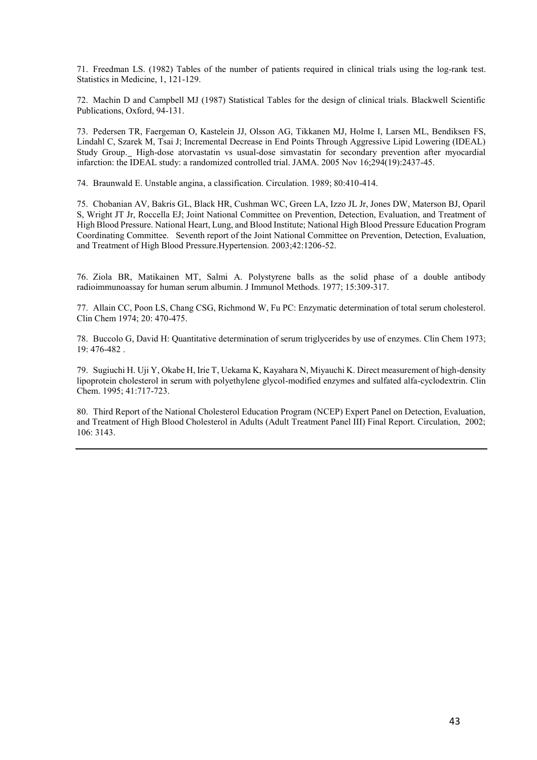71. Freedman LS. (1982) Tables of the number of patients required in clinical trials using the log-rank test. Statistics in Medicine, 1, 121-129.

72. Machin D and Campbell MJ (1987) Statistical Tables for the design of clinical trials. Blackwell Scientific Publications, Oxford, 94-131.

73. [Pedersen TR, Faergeman O, Kastelein JJ, Olsson AG, Tikkanen MJ, Holme I, Larsen ML, Bendiksen FS,](http://www.ncbi.nlm.nih.gov/entrez/query.fcgi?db=pubmed&cmd=Retrieve&dopt=AbstractPlus&list_uids=16287954&query_hl=4&itool=pubmed_docsum)  [Lindahl C, Szarek M, Tsai J; Incremental Decrease in End Points Through Aggressive Lipid Lowering \(IDEAL\)](http://www.ncbi.nlm.nih.gov/entrez/query.fcgi?db=pubmed&cmd=Retrieve&dopt=AbstractPlus&list_uids=16287954&query_hl=4&itool=pubmed_docsum)  [Study Group.](http://www.ncbi.nlm.nih.gov/entrez/query.fcgi?db=pubmed&cmd=Retrieve&dopt=AbstractPlus&list_uids=16287954&query_hl=4&itool=pubmed_docsum) High-dose atorvastatin vs usual-dose simvastatin for secondary prevention after myocardial infarction: the IDEAL study: a randomized controlled trial. JAMA. 2005 Nov 16;294(19):2437-45.

74. Braunwald E. Unstable angina, a classification. Circulation. 1989; 80:410-414.

75. Chobanian AV, Bakris GL, Black HR, Cushman WC, Green LA, Izzo JL Jr, Jones DW, Materson BJ, Oparil S, Wright JT Jr, Roccella EJ; Joint National Committee on Prevention, Detection, Evaluation, and Treatment of High Blood Pressure. National Heart, Lung, and Blood Institute; National High Blood Pressure Education Program Coordinating Committee. Seventh report of the Joint National Committee on Prevention, Detection, Evaluation, and Treatment of High Blood Pressure.Hypertension. 2003;42:1206-52.

76. Ziola BR, Matikainen MT, Salmi A. Polystyrene balls as the solid phase of a double antibody radioimmunoassay for human serum albumin. J Immunol Methods. 1977; 15:309-317.

77. Allain CC, Poon LS, Chang CSG, Richmond W, Fu PC: Enzymatic determination of total serum cholesterol. Clin Chem 1974; 20: 470-475.

78. Buccolo G, David H: Quantitative determination of serum triglycerides by use of enzymes. Clin Chem 1973; 19: 476-482 .

79. Sugiuchi H. Uji Y, Okabe H, Irie T, Uekama K, Kayahara N, Miyauchi K. Direct measurement of high-density lipoprotein cholesterol in serum with polyethylene glycol-modified enzymes and sulfated alfa-cyclodextrin. Clin Chem. 1995; 41:717-723.

80. Third Report of the National Cholesterol Education Program (NCEP) Expert Panel on Detection, Evaluation, and Treatment of High Blood Cholesterol in Adults (Adult Treatment Panel III) Final Report. Circulation, 2002; 106: 3143.